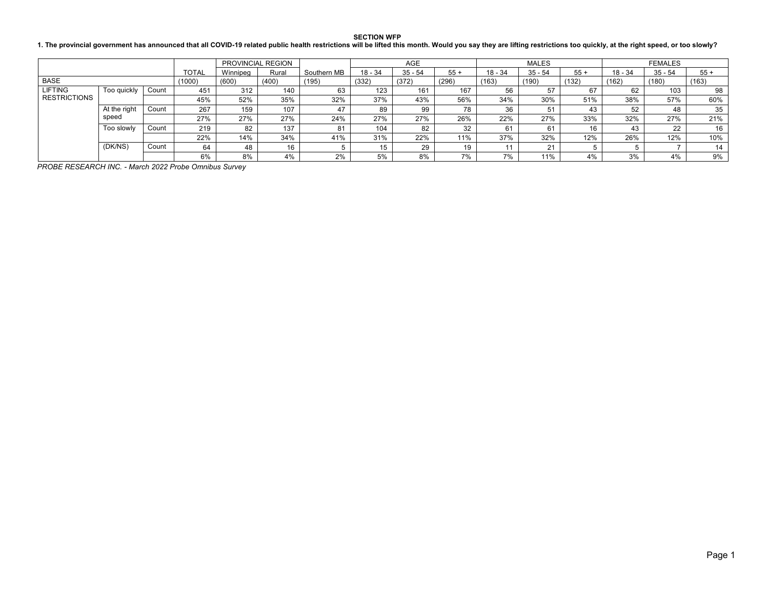**SECTION WFP**

**1. The provincial government has announced that all COVID-19 related public health restrictions will be lifted this month. Would you say they are lifting restrictions too quickly, at the right speed, or too slowly?**

|                     |                     |       |              |          | PROVINCIAL REGION |             |           | <b>AGE</b> |       |           | <b>MALES</b> |       | <b>FEMALES</b> |           |       |
|---------------------|---------------------|-------|--------------|----------|-------------------|-------------|-----------|------------|-------|-----------|--------------|-------|----------------|-----------|-------|
|                     |                     |       | <b>TOTAL</b> | Winnipea | Rural             | Southern MB | $18 - 34$ | $35 - 54$  | $55+$ | $18 - 34$ | $35 - 54$    | $55+$ | $18 - 34$      | $35 - 54$ | $55+$ |
| <b>BASE</b>         |                     |       | (1000)       | (600)    | (400)             | (195)       | (332)     | (372)      | (296) | (163)     | (190)        | (132) | (162)          | (180)     | (163) |
| <b>LIFTING</b>      | Too quickly         | Count | 451          | 312      | 140               | 63          | 123       | 161        | 167   | 56        | 57           | 67    | 62             | 103       | 98    |
| <b>RESTRICTIONS</b> |                     |       | 45%          | 52%      | 35%               | 32%         | 37%       | 43%        | 56%   | 34%       | 30%          | 51%   | 38%            | 57%       | 60%   |
|                     | At the right        | Count | 267          | 159      | 107               | 47          | 89        | 99         | 78    | 36        | 51           | 43    | 52             | 48        | 35    |
|                     | speed               |       | 27%          | 27%      | 27%               | 24%         | 27%       | 27%        | 26%   | 22%       | 27%          | 33%   | 32%            | 27%       | 21%   |
|                     | Too slowly<br>Count |       | 219          | 82       | 137               | 81          | 104       | 82         | 32    | 61        | 61           | 16    | 43             | 22        | 16    |
| (DK/NS)<br>Count    |                     |       | 22%          | 14%      | 34%               | 41%         | 31%       | 22%        | 11%   | 37%       | 32%          | 12%   | 26%            | 12%       | 10%   |
|                     |                     | 64    | 48           | 16       |                   | 15          | 29        | 19         |       | 24        |              |       |                | 14        |       |
|                     |                     |       | 6%           | 8%       | 4%                | 2%          | 5%        | 8%         | 7%    | 7%        | 11%          | 4%    | 3%             | 4%        | 9%    |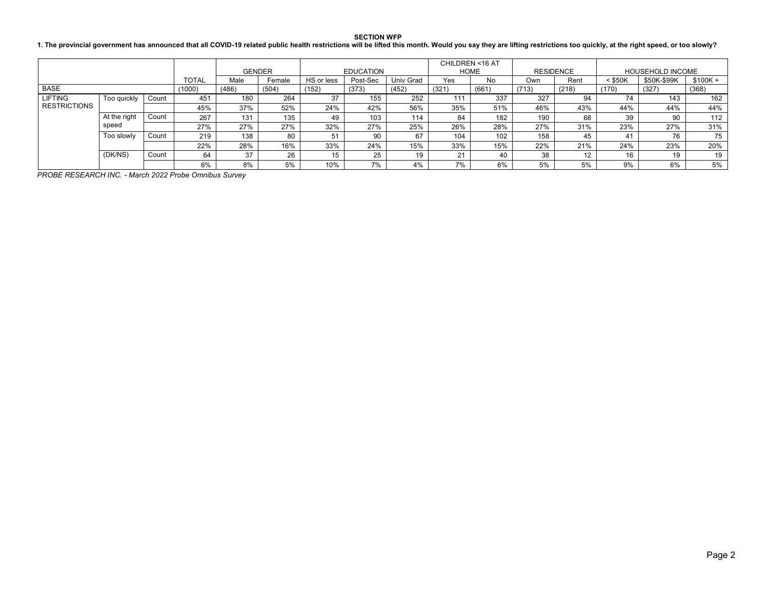### **SECTION WFP**

### **1. The provincial government has announced that all COVID-19 related public health restrictions will be lifted this month. Would you say they are lifting restrictions too quickly, at the right speed, or too slowly?**

|                     |              |       |        |       | <b>GENDER</b> |            | <b>EDUCATION</b> |           | CHILDREN <16 AT<br><b>HOME</b> |       | <b>RESIDENCE</b> |       |           | <b>HOUSEHOLD INCOME</b> |           |
|---------------------|--------------|-------|--------|-------|---------------|------------|------------------|-----------|--------------------------------|-------|------------------|-------|-----------|-------------------------|-----------|
|                     |              |       | TOTAL  | Male  | Female        | HS or less | Post-Sec         | Univ Grad | Yes                            | No.   | Own              | Rent  | $<$ \$50K | \$50K-\$99K             | $$100K +$ |
| <b>BASE</b>         |              |       | (1000) | (486) | (504)         | (152)      | (373)            | (452)     | (321)                          | (661) | (713)            | (218) | (170)     | (327)                   | (368)     |
| <b>LIFTING</b>      | Too quickly  | Count | 451    | 180   | 264           | 37         | 155              | 252       | 111                            | 337   | 327              | 94    | 74        | 143                     | 162       |
| <b>RESTRICTIONS</b> |              |       | 45%    | 37%   | 52%           | 24%        | 42%              | 56%       | 35%                            | 51%   | 46%              | 43%   | 44%       | 44%                     | 44%       |
|                     | At the right | Count | 267    | 131   | 135           | 49         | 103              | 114       | 84                             | 182   | 190              | 68    | 39        | 90                      | 112       |
|                     | speed        |       | 27%    | 27%   | 27%           | 32%        | 27%              | 25%       | 26%                            | 28%   | 27%              | 31%   | 23%       | 27%                     | 31%       |
|                     | Too slowly   | Count | 219    | 138   | 80            | 51         | 90               | 67        | 104                            | 102   | 158              | 45    | 41        | 76                      | 75        |
|                     |              |       | 22%    | 28%   | 16%           | 33%        | 24%              | 15%       | 33%                            | 15%   | 22%              | 21%   | 24%       | 23%                     | 20%       |
|                     | (DK/NS)      | Count | 64     | 37    | 26            | 15         | 25               | 10        | 21                             | 40    | 38               | 12    | 16        | 19                      | 19        |
|                     |              |       | 6%     | 8%    | 5%            | 10%        | 7%               | 4%        | 7%                             | 6%    | 5%               | 5%    | 9%        | 6%                      | 5%        |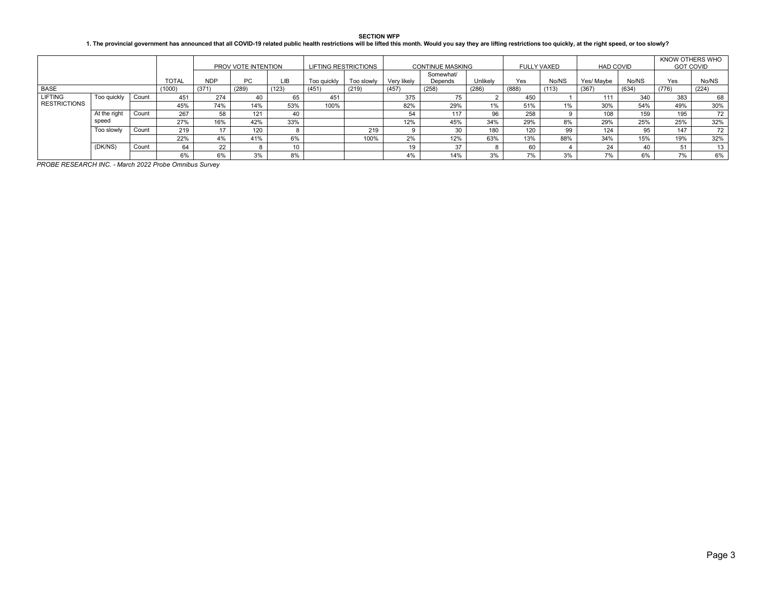**SECTION WFP**

#### **1. The provincial government has announced that all COVID-19 related public health restrictions will be lifted this month. Would you say they are lifting restrictions too quickly, at the right speed, or too slowly?**

|                     |                                             |       |     |       | PROV VOTE INTENTION |             | <b>LIFTING RESTRICTIONS</b> |             |                      | <b>CONTINUE MASKING</b> |       | FULLY VAXED |            | <b>HAD COVID</b> |       | KNOW OTHERS WHO<br><b>GOT COVID</b> |       |
|---------------------|---------------------------------------------|-------|-----|-------|---------------------|-------------|-----------------------------|-------------|----------------------|-------------------------|-------|-------------|------------|------------------|-------|-------------------------------------|-------|
|                     | <b>TOTAL</b><br><b>NDP</b><br>PC.<br>(1000) |       |     |       | LIB                 | Too guickly | Too slowly                  | Very likely | Somewhat/<br>Depends | Unlikely                | Yes   | No/NS       | Yes/ Maybe | No/NS            | Yes   | No/NS                               |       |
| BASE                |                                             |       |     | (371) | (289)               | (123)       | (451)                       | (219)       | (457)                | (258)                   | (286) | (888)       | (113)      | (367)            | (634) | (776)                               | (224) |
| <b>LIFTING</b>      | Too quickly                                 | Count | 451 | 274   |                     |             | 451                         |             | 375                  |                         |       | 450         |            | 111              | 340   | 383                                 | 68    |
| <b>RESTRICTIONS</b> |                                             |       | 45% | 74%   | 14%                 | 53%         | 100%                        |             | 82%                  | 29%                     | 1%    | 51%         | 1%         | 30%              | 54%   | 49%                                 | 30%   |
|                     | At the right                                | Count | 267 | 58    | 121                 | 40          |                             |             | 54                   | 117                     | 96    | 258         |            | 108              | 159   | 195                                 | 72    |
|                     | speed                                       |       | 27% | 16%   | 42%                 | 33%         |                             |             | 12%                  | 45%                     | 34%   | 29%         | 8%         | 29%              | 25%   | 25%                                 | 32%   |
|                     | Too slowly                                  | Count | 219 |       | 120                 |             |                             | 219         |                      | 30                      | 180   | 120         | 99         | 124              | 95    | 147                                 | 72    |
|                     |                                             |       | 22% | 4%    | 41%                 | 6%          |                             | 100%        | 2%                   | 12%                     | 63%   | 13%         | 88%        | 34%              | 15%   | 19%                                 | 32%   |
|                     | (DK/NS)                                     | Count | 64  | 22    |                     |             |                             |             | 19                   | 37                      |       | 60          |            | 24               |       | 51                                  | 13    |
|                     |                                             |       | 6%  | 6%    | 3%                  | 8%          |                             |             | 4%                   | 14%                     | 3%    | 7%          | 3%         | 7%               | 6%    | 7%                                  | 6%    |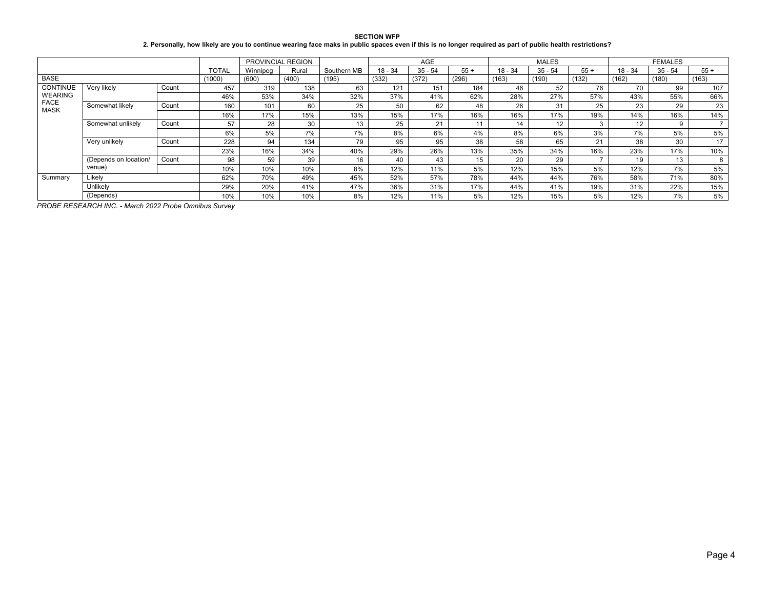**SECTION WFP 2. Personally, how likely are you to continue wearing face maks in public spaces even if this is no longer required as part of public health restrictions?**

|                            |                       |       |              | <b>PROVINCIAL REGION</b> |       |             |           | <b>AGE</b> |       |         | MALES     |       |           | <b>FEMALES</b> |       |
|----------------------------|-----------------------|-------|--------------|--------------------------|-------|-------------|-----------|------------|-------|---------|-----------|-------|-----------|----------------|-------|
|                            |                       |       | <b>TOTAL</b> | Winnipeg                 | Rural | Southern MB | $18 - 34$ | $35 - 54$  | $55+$ | 18 - 34 | $35 - 54$ | $55+$ | $18 - 34$ | $35 - 54$      | $55+$ |
| <b>BASE</b>                |                       |       | (1000)       | (600)                    | (400) | (195)       | (332)     | (372)      | (296) | (163)   | (190)     | (132) | (162)     | (180)          | (163) |
| <b>CONTINUE</b>            | Very likely           | Count | 457          | 319                      | 138   | 63          | 121       | 151        | 184   | 46      | 52        | 76    | 70        | 99             | 107   |
| <b>WEARING</b>             |                       |       | 46%          | 53%                      | 34%   | 32%         | 37%       | 41%        | 62%   | 28%     | 27%       | 57%   | 43%       | 55%            | 66%   |
| <b>FACE</b><br><b>MASK</b> | Somewhat likely       | Count | 160          | 101                      | 60    | 25          | 50        | 62         | 48    | 26      | 31        | 25    | 23        | 29             | 23    |
|                            |                       |       | 16%          | 17%                      | 15%   | 13%         | 15%       | 17%        | 16%   | 16%     | 17%       | 19%   | 14%       | 16%            | 14%   |
|                            | Somewhat unlikely     | Count | 57           | 28                       | 30    | 13          | 25        | 21         |       | 14      | 12        |       | 12        | 9              |       |
|                            |                       |       | 6%           | 5%                       | 7%    | 7%          | 8%        | 6%         | 4%    | 8%      | 6%        | 3%    | 7%        | 5%             | 5%    |
|                            | Very unlikely         | Count | 228          | 94                       | 134   | 79          | 95        | 95         | 38    | 58      | 65        | 21    | 38        | 30             | 17    |
|                            |                       |       | 23%          | 16%                      | 34%   | 40%         | 29%       | 26%        | 13%   | 35%     | 34%       | 16%   | 23%       | 17%            | 10%   |
|                            | (Depends on location/ | Count | 98           | 59                       | 39    | 16          | 40        | 43         | 15    | 20      | 29        |       | 19        | 13             | 8     |
|                            | venue)                |       | 10%          | 10%                      | 10%   | 8%          | 12%       | 11%        | 5%    | 12%     | 15%       | 5%    | 12%       | 7%             | 5%    |
| Summary                    | Likely                |       | 62%          | 70%                      | 49%   | 45%         | 52%       | 57%        | 78%   | 44%     | 44%       | 76%   | 58%       | 71%            | 80%   |
|                            | Unlikely              |       | 29%          | 20%                      | 41%   | 47%         | 36%       | 31%        | 17%   | 44%     | 41%       | 19%   | 31%       | 22%            | 15%   |
|                            | (Depends)             |       | 10%          | 10%                      | 10%   | 8%          | 12%       | 11%        | 5%    | 12%     | 15%       | 5%    | 12%       | 7%             | 5%    |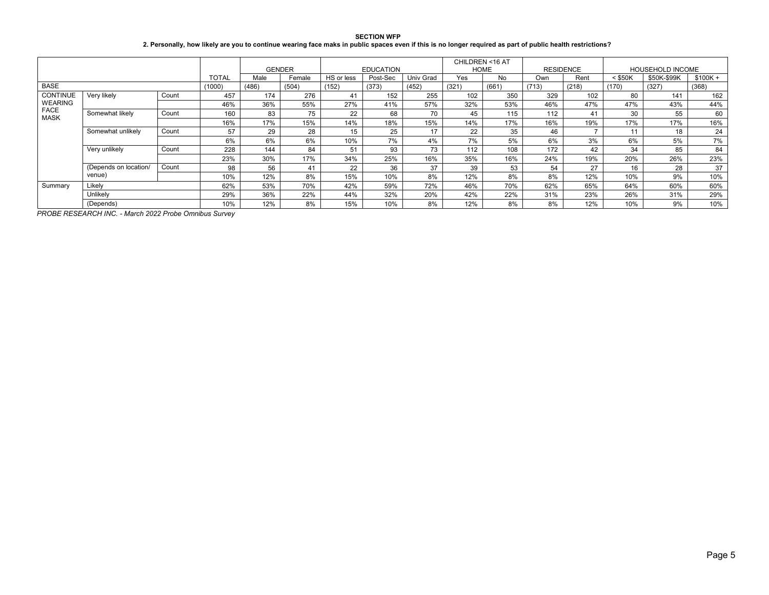| <b>SECTION WFP</b>                                                                                                                                         |
|------------------------------------------------------------------------------------------------------------------------------------------------------------|
| 2. Personally, how likely are you to continue wearing face maks in public spaces even if this is no longer required as part of public health restrictions? |

|                            |                       |       |              | <b>GENDER</b> |        |            | <b>EDUCATION</b> |           | CHILDREN <16 AT | HOME  | <b>RESIDENCE</b> |       | <b>HOUSEHOLD INCOME</b> |             |           |
|----------------------------|-----------------------|-------|--------------|---------------|--------|------------|------------------|-----------|-----------------|-------|------------------|-------|-------------------------|-------------|-----------|
|                            |                       |       | <b>TOTAL</b> | Male          | Female | HS or less | Post-Sec         | Univ Grad | Yes             | No    | Own              | Rent  | $<$ \$50K               | \$50K-\$99K | $$100K +$ |
| <b>BASE</b>                |                       |       | (1000)       | (486)         | (504)  | (152)      | (373)            | (452)     | (321)           | (661) | (713)            | (218) | (170)                   | (327)       | (368)     |
| <b>CONTINUE</b>            | Very likely           | Count | 457          | 174           | 276    | 41         | 152              | 255       | 102             | 350   | 329              | 102   | 80                      | 141         | 162       |
| <b>WEARING</b>             |                       |       | 46%          | 36%           | 55%    | 27%        | 41%              | 57%       | 32%             | 53%   | 46%              | 47%   | 47%                     | 43%         | 44%       |
| <b>FACE</b><br><b>MASK</b> | Somewhat likely       | Count | 160          | 83            | 75     | 22         | 68               | 70        | 45              | 115   | 112              | 41    | 30                      | 55          | 60        |
|                            |                       |       | 16%          | 17%           | 15%    | 14%        | 18%              | 15%       | 14%             | 17%   | 16%              | 19%   | 17%                     | 17%         | 16%       |
|                            | Somewhat unlikely     | Count | 57           | 29            | 28     | 15         | 25               | 17        | 22              | 35    | 46               |       | 11                      | 18          | 24        |
|                            |                       |       | 6%           | 6%            | 6%     | 10%        | 7%               | 4%        | 7%              | 5%    | 6%               | 3%    | 6%                      | 5%          | 7%        |
|                            | Very unlikely         | Count | 228          | 144           | 84     | 51         | 93               | 73        | 112             | 108   | 172              | 42    | 34                      | 85          | 84        |
|                            |                       |       | 23%          | 30%           | 17%    | 34%        | 25%              | 16%       | 35%             | 16%   | 24%              | 19%   | 20%                     | 26%         | 23%       |
|                            | (Depends on location/ | Count | 98           | 56            | 41     | 22         | 36               | 37        | 39              | 53    | 54               | 27    | 16                      | 28          | 37        |
|                            | venue)                |       | 10%          | 12%           | 8%     | 15%        | 10%              | 8%        | 12%             | 8%    | 8%               | 12%   | 10%                     | 9%          | 10%       |
| Summary                    | Likely                |       | 62%          | 53%           | 70%    | 42%        | 59%              | 72%       | 46%             | 70%   | 62%              | 65%   | 64%                     | 60%         | 60%       |
|                            | Unlikely              |       | 29%          | 36%           | 22%    | 44%        | 32%              | 20%       | 42%             | 22%   | 31%              | 23%   | 26%                     | 31%         | 29%       |
|                            | (Depends)             |       | 10%          | 12%           | 8%     | 15%        | 10%              | 8%        | 12%             | 8%    | 8%               | 12%   | 10%                     | 9%          | 10%       |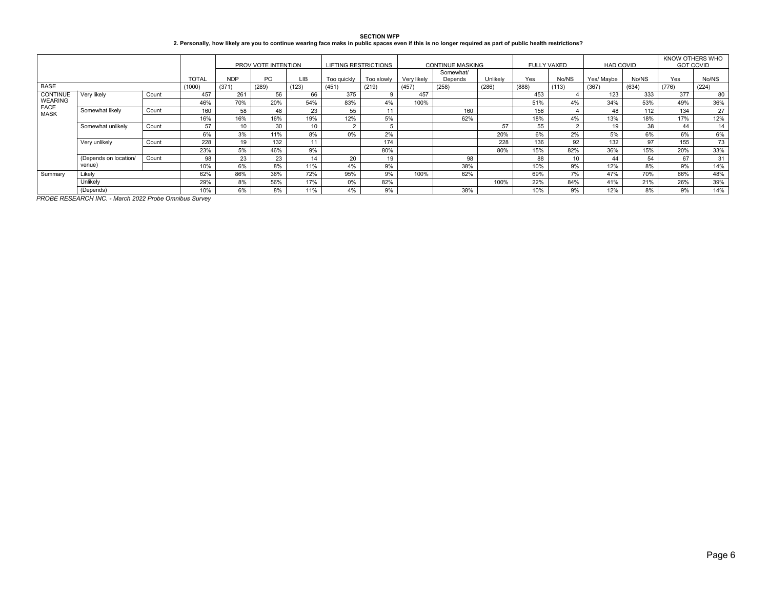| <b>SECTION WFP</b>                                                                                                                                         |
|------------------------------------------------------------------------------------------------------------------------------------------------------------|
| 2. Personally, how likely are you to continue wearing face maks in public spaces even if this is no longer required as part of public health restrictions? |

|                            |                       |       |              |            | PROV VOTE INTENTION |            | <b>LIFTING RESTRICTIONS</b> |            |             | <b>CONTINUE MASKING</b> |          | <b>FULLY VAXED</b> |                | <b>HAD COVID</b> |       | KNOW OTHERS WHO<br><b>GOT COVID</b> |       |
|----------------------------|-----------------------|-------|--------------|------------|---------------------|------------|-----------------------------|------------|-------------|-------------------------|----------|--------------------|----------------|------------------|-------|-------------------------------------|-------|
|                            |                       |       | <b>TOTAL</b> | <b>NDP</b> | PC                  | <b>LIB</b> | Too quickly                 | Too slowly | Very likely | Somewhat/<br>Depends    | Unlikely | Yes                | No/NS          | Yes/ Mavbe       | No/NS | Yes                                 | No/NS |
| <b>BASE</b>                |                       |       | (1000)       | (371)      | (289)               | (123)      | (451)                       | (219)      | (457)       | (258)                   | (286)    | (888)              | (113)          | (367)            | (634) | (776)                               | (224) |
| <b>CONTINUE</b>            | Very likely           | Count | 457          | 261        | 56                  | 66         | 375                         |            | 457         |                         |          | 453                |                | 123              | 333   | 377                                 | 80    |
| <b>WEARING</b>             |                       |       | 46%          | 70%        | 20%                 | 54%        | 83%                         | 4%         | 100%        |                         |          | 51%                | 4%             | 34%              | 53%   | 49%                                 | 36%   |
| <b>FACE</b><br><b>MASK</b> | Somewhat likely       | Count | 160          | 58         | 48                  | 23         | 55                          | 44         |             | 160                     |          | 156                |                | 48               | 112   | 134                                 | 27    |
|                            |                       |       | 16%          | 16%        | 16%                 | 19%        | 12%                         | 5%         |             | 62%                     |          | 18%                | 4%             | 13%              | 18%   | 17%                                 | 12%   |
|                            | Somewhat unlikely     | Count | 57           | 10         | 30                  | 10         | 2                           |            |             |                         | 57       | 55                 | $\overline{2}$ | 19               | 38    | 44                                  | 14    |
|                            |                       |       | 6%           | 3%         | 11%                 | 8%         | 0%                          | 2%         |             |                         | 20%      | 6%                 | 2%             | 5%               | 6%    | 6%                                  | 6%    |
|                            | Very unlikely         | Count | 228          | 19         | 132                 | 11         |                             | 174        |             |                         | 228      | 136                | 92             | 132              | 97    | 155                                 | 73    |
|                            |                       |       | 23%          | 5%         | 46%                 | 9%         |                             | 80%        |             |                         | 80%      | 15%                | 82%            | 36%              | 15%   | 20%                                 | 33%   |
|                            | (Depends on location/ | Count | 98           | 23         | 23                  | 14         | 20                          | 19         |             | 98                      |          | 88                 | 10             | 44               | 54    | 67                                  | 31    |
|                            | venue)                |       | 10%          | 6%         | 8%                  | 11%        | 4%                          | 9%         |             | 38%                     |          | 10%                | 9%             | 12%              | 8%    | 9%                                  | 14%   |
| Summary                    | Likely                |       | 62%          | 86%        | 36%                 | 72%        | 95%                         | 9%         | 100%        | 62%                     |          | 69%                | 7%             | 47%              | 70%   | 66%                                 | 48%   |
|                            | Unlikely              |       | 29%          | 8%         | 56%                 | 17%        | 0%                          | 82%        |             |                         | 100%     | 22%                | 84%            | 41%              | 21%   | 26%                                 | 39%   |
|                            | (Depends)             |       | 10%          | 6%         | 8%                  | 11%        | 4%                          | 9%         |             | 38%                     |          | 10%                | 9%             | 12%              | 8%    | 9%                                  | 14%   |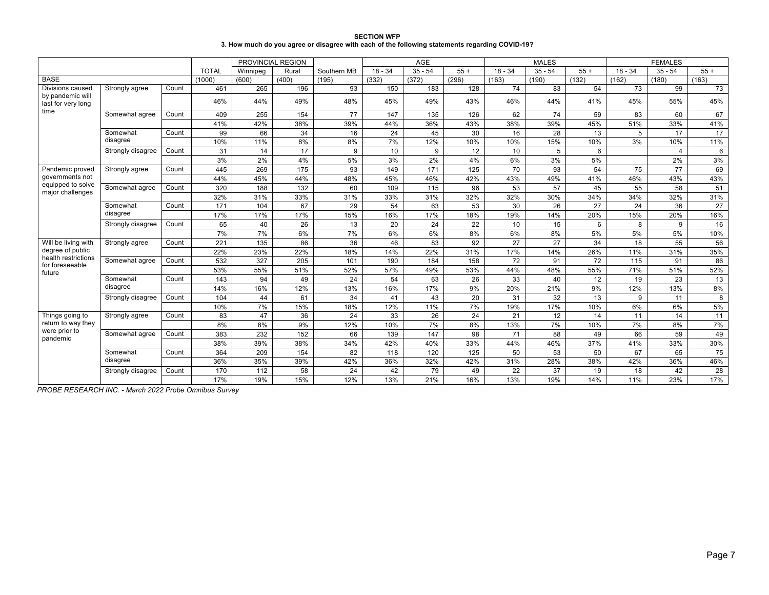| <b>SECTION WFP</b>                                                                             |
|------------------------------------------------------------------------------------------------|
| 3. How much do you agree or disagree with each of the following statements regarding COVID-19? |

|                                        |                   |       |              | PROVINCIAL REGION |       |             |           | <b>AGE</b> |       |           | <b>MALES</b> |       |           | <b>FEMALES</b>   |       |
|----------------------------------------|-------------------|-------|--------------|-------------------|-------|-------------|-----------|------------|-------|-----------|--------------|-------|-----------|------------------|-------|
|                                        |                   |       | <b>TOTAL</b> | Winnipeg          | Rural | Southern MB | $18 - 34$ | $35 - 54$  | $55+$ | $18 - 34$ | $35 - 54$    | $55+$ | $18 - 34$ | $35 - 54$        | $55+$ |
| <b>BASE</b>                            |                   |       | (1000)       | (600)             | (400) | (195)       | (332)     | (372)      | (296) | (163)     | (190)        | (132) | (162)     | (180)            | (163) |
| Divisions caused                       | Strongly agree    | Count | 461          | 265               | 196   | 93          | 150       | 183        | 128   | 74        | 83           | 54    | 73        | 99               | 73    |
| by pandemic will<br>last for very long |                   |       | 46%          | 44%               | 49%   | 48%         | 45%       | 49%        | 43%   | 46%       | 44%          | 41%   | 45%       | 55%              | 45%   |
| time                                   | Somewhat agree    | Count | 409          | 255               | 154   | 77          | 147       | 135        | 126   | 62        | 74           | 59    | 83        | 60               | 67    |
|                                        |                   |       | 41%          | 42%               | 38%   | 39%         | 44%       | 36%        | 43%   | 38%       | 39%          | 45%   | 51%       | 33%              | 41%   |
|                                        | Somewhat          | Count | 99           | 66                | 34    | 16          | 24        | 45         | 30    | 16        | 28           | 13    | 5         | 17               | 17    |
|                                        | disagree          |       | 10%          | 11%               | 8%    | 8%          | 7%        | 12%        | 10%   | 10%       | 15%          | 10%   | 3%        | 10%              | 11%   |
|                                        | Strongly disagree | Count | 31           | 14                | 17    | 9           | 10        | 9          | 12    | 10        | 5            | 6     |           | $\boldsymbol{4}$ | 6     |
|                                        |                   |       | 3%           | 2%                | 4%    | 5%          | 3%        | 2%         | 4%    | 6%        | 3%           | 5%    |           | 2%               | 3%    |
| Pandemic proved                        | Strongly agree    | Count | 445          | 269               | 175   | 93          | 149       | 171        | 125   | 70        | 93           | 54    | 75        | 77               | 69    |
| governments not                        |                   |       | 44%          | 45%               | 44%   | 48%         | 45%       | 46%        | 42%   | 43%       | 49%          | 41%   | 46%       | 43%              | 43%   |
| equipped to solve<br>major challenges  | Somewhat agree    | Count | 320          | 188               | 132   | 60          | 109       | 115        | 96    | 53        | 57           | 45    | 55        | 58               | 51    |
|                                        |                   |       | 32%          | 31%               | 33%   | 31%         | 33%       | 31%        | 32%   | 32%       | 30%          | 34%   | 34%       | 32%              | 31%   |
|                                        | Somewhat          | Count | 171          | 104               | 67    | 29          | 54        | 63         | 53    | 30        | 26           | 27    | 24        | 36               | 27    |
|                                        | disagree          |       | 17%          | 17%               | 17%   | 15%         | 16%       | 17%        | 18%   | 19%       | 14%          | 20%   | 15%       | 20%              | 16%   |
|                                        | Strongly disagree | Count | 65           | 40                | 26    | 13          | 20        | 24         | 22    | 10        | 15           | 6     | 8         | 9                | 16    |
|                                        |                   |       | 7%           | 7%                | 6%    | 7%          | 6%        | 6%         | 8%    | 6%        | 8%           | 5%    | 5%        | 5%               | 10%   |
| Will be living with                    | Strongly agree    | Count | 221          | 135               | 86    | 36          | 46        | 83         | 92    | 27        | 27           | 34    | 18        | 55               | 56    |
| degree of public                       |                   |       | 22%          | 23%               | 22%   | 18%         | 14%       | 22%        | 31%   | 17%       | 14%          | 26%   | 11%       | 31%              | 35%   |
| health restrictions<br>for foreseeable | Somewhat agree    | Count | 532          | 327               | 205   | 101         | 190       | 184        | 158   | 72        | 91           | 72    | 115       | 91               | 86    |
| future                                 |                   |       | 53%          | 55%               | 51%   | 52%         | 57%       | 49%        | 53%   | 44%       | 48%          | 55%   | 71%       | 51%              | 52%   |
|                                        | Somewhat          | Count | 143          | 94                | 49    | 24          | 54        | 63         | 26    | 33        | 40           | 12    | 19        | 23               | 13    |
|                                        | disagree          |       | 14%          | 16%               | 12%   | 13%         | 16%       | 17%        | 9%    | 20%       | 21%          | 9%    | 12%       | 13%              | 8%    |
|                                        | Strongly disagree | Count | 104          | 44                | 61    | 34          | 41        | 43         | 20    | 31        | 32           | 13    | 9         | 11               | 8     |
|                                        |                   |       | 10%          | 7%                | 15%   | 18%         | 12%       | 11%        | 7%    | 19%       | 17%          | 10%   | 6%        | 6%               | 5%    |
| Things going to                        | Strongly agree    | Count | 83           | 47                | 36    | 24          | 33        | 26         | 24    | 21        | 12           | 14    | 11        | 14               | 11    |
| return to way they                     |                   |       | 8%           | 8%                | 9%    | 12%         | 10%       | 7%         | 8%    | 13%       | 7%           | 10%   | 7%        | 8%               | 7%    |
| were prior to<br>pandemic              | Somewhat agree    | Count | 383          | 232               | 152   | 66          | 139       | 147        | 98    | 71        | 88           | 49    | 66        | 59               | 49    |
|                                        |                   |       | 38%          | 39%               | 38%   | 34%         | 42%       | 40%        | 33%   | 44%       | 46%          | 37%   | 41%       | 33%              | 30%   |
|                                        | Somewhat          | Count | 364          | 209               | 154   | 82          | 118       | 120        | 125   | 50        | 53           | 50    | 67        | 65               | 75    |
|                                        | disagree          |       | 36%          | 35%               | 39%   | 42%         | 36%       | 32%        | 42%   | 31%       | 28%          | 38%   | 42%       | 36%              | 46%   |
|                                        | Strongly disagree | Count | 170          | 112               | 58    | 24          | 42        | 79         | 49    | 22        | 37           | 19    | 18        | 42               | 28    |
|                                        |                   |       | 17%          | 19%               | 15%   | 12%         | 13%       | 21%        | 16%   | 13%       | 19%          | 14%   | 11%       | 23%              | 17%   |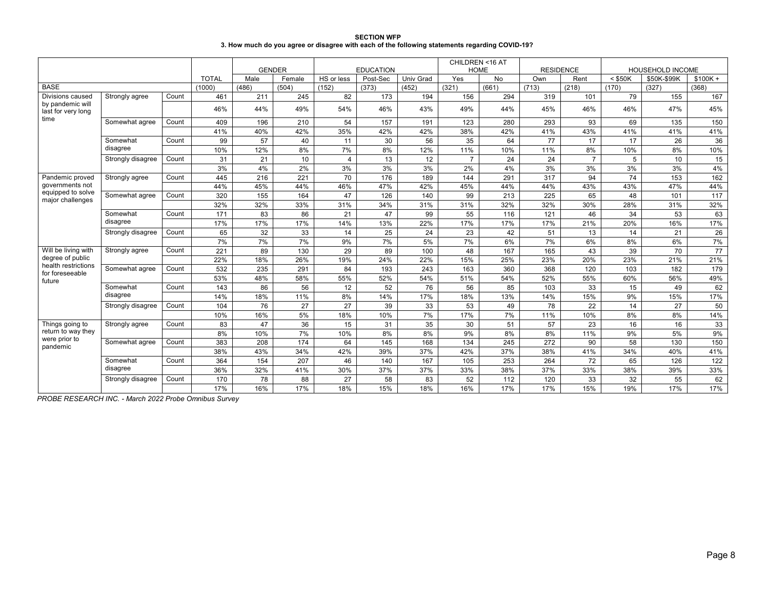| <b>SECTION WFP</b>                                                                             |
|------------------------------------------------------------------------------------------------|
| 3. How much do you agree or disagree with each of the following statements regarding COVID-19? |

|                                        |                   |       |              | <b>GENDER</b> |        |                | <b>EDUCATION</b> |           | CHILDREN <16 AT | <b>HOME</b> | <b>RESIDENCE</b> |                |           | <b>HOUSEHOLD INCOME</b> |           |
|----------------------------------------|-------------------|-------|--------------|---------------|--------|----------------|------------------|-----------|-----------------|-------------|------------------|----------------|-----------|-------------------------|-----------|
|                                        |                   |       | <b>TOTAL</b> | Male          | Female | HS or less     | Post-Sec         | Univ Grad | Yes             | <b>No</b>   | Own              | Rent           | $<$ \$50K | \$50K-\$99K             | $$100K +$ |
| <b>BASE</b>                            |                   |       | (1000)       | (486)         | (504)  | (152)          | (373)            | (452)     | (321)           | (661)       | (713)            | (218)          | (170)     | (327)                   | (368)     |
| Divisions caused                       | Strongly agree    | Count | 461          | 211           | 245    | 82             | 173              | 194       | 156             | 294         | 319              | 101            | 79        | 155                     | 167       |
| by pandemic will<br>last for very long |                   |       | 46%          | 44%           | 49%    | 54%            | 46%              | 43%       | 49%             | 44%         | 45%              | 46%            | 46%       | 47%                     | 45%       |
| time                                   | Somewhat agree    | Count | 409          | 196           | 210    | 54             | 157              | 191       | 123             | 280         | 293              | 93             | 69        | 135                     | 150       |
|                                        |                   |       | 41%          | 40%           | 42%    | 35%            | 42%              | 42%       | 38%             | 42%         | 41%              | 43%            | 41%       | 41%                     | 41%       |
|                                        | Somewhat          | Count | 99           | 57            | 40     | 11             | 30               | 56        | 35              | 64          | 77               | 17             | 17        | 26                      | 36        |
|                                        | disagree          |       | 10%          | 12%           | 8%     | 7%             | 8%               | 12%       | 11%             | 10%         | 11%              | 8%             | 10%       | 8%                      | 10%       |
|                                        | Strongly disagree | Count | 31           | 21            | 10     | $\overline{4}$ | 13               | 12        | $\overline{7}$  | 24          | 24               | $\overline{7}$ | 5         | 10                      | 15        |
|                                        |                   |       | 3%           | 4%            | 2%     | 3%             | 3%               | 3%        | 2%              | 4%          | 3%               | 3%             | 3%        | 3%                      | 4%        |
| Pandemic proved                        | Strongly agree    | Count | 445          | 216           | 221    | 70             | 176              | 189       | 144             | 291         | 317              | 94             | 74        | 153                     | 162       |
| governments not                        |                   |       | 44%          | 45%           | 44%    | 46%            | 47%              | 42%       | 45%             | 44%         | 44%              | 43%            | 43%       | 47%                     | 44%       |
| equipped to solve<br>major challenges  | Somewhat agree    | Count | 320          | 155           | 164    | 47             | 126              | 140       | 99              | 213         | 225              | 65             | 48        | 101                     | 117       |
|                                        |                   |       | 32%          | 32%           | 33%    | 31%            | 34%              | 31%       | 31%             | 32%         | 32%              | 30%            | 28%       | 31%                     | 32%       |
|                                        | Somewhat          | Count | 171          | 83            | 86     | 21             | 47               | 99        | 55              | 116         | 121              | 46             | 34        | 53                      | 63        |
|                                        | disagree          |       | 17%          | 17%           | 17%    | 14%            | 13%              | 22%       | 17%             | 17%         | 17%              | 21%            | 20%       | 16%                     | 17%       |
|                                        | Strongly disagree | Count | 65           | 32            | 33     | 14             | 25               | 24        | 23              | 42          | 51               | 13             | 14        | 21                      | 26        |
|                                        |                   |       | 7%           | 7%            | 7%     | 9%             | 7%               | 5%        | 7%              | 6%          | 7%               | 6%             | 8%        | 6%                      | 7%        |
| Will be living with                    | Strongly agree    | Count | 221          | 89            | 130    | 29             | 89               | 100       | 48              | 167         | 165              | 43             | 39        | 70                      | 77        |
| degree of public                       |                   |       | 22%          | 18%           | 26%    | 19%            | 24%              | 22%       | 15%             | 25%         | 23%              | 20%            | 23%       | 21%                     | 21%       |
| health restrictions<br>for foreseeable | Somewhat agree    | Count | 532          | 235           | 291    | 84             | 193              | 243       | 163             | 360         | 368              | 120            | 103       | 182                     | 179       |
| future                                 |                   |       | 53%          | 48%           | 58%    | 55%            | 52%              | 54%       | 51%             | 54%         | 52%              | 55%            | 60%       | 56%                     | 49%       |
|                                        | Somewhat          | Count | 143          | 86            | 56     | 12             | 52               | 76        | 56              | 85          | 103              | 33             | 15        | 49                      | 62        |
|                                        | disagree          |       | 14%          | 18%           | 11%    | 8%             | 14%              | 17%       | 18%             | 13%         | 14%              | 15%            | 9%        | 15%                     | 17%       |
|                                        | Strongly disagree | Count | 104          | 76            | 27     | 27             | 39               | 33        | 53              | 49          | 78               | 22             | 14        | 27                      | 50        |
|                                        |                   |       | 10%          | 16%           | 5%     | 18%            | 10%              | 7%        | 17%             | 7%          | 11%              | 10%            | 8%        | 8%                      | 14%       |
| Things going to                        | Strongly agree    | Count | 83           | 47            | 36     | 15             | 31               | 35        | 30              | 51          | 57               | 23             | 16        | 16                      | 33        |
| return to way they                     |                   |       | 8%           | 10%           | 7%     | 10%            | 8%               | 8%        | 9%              | 8%          | 8%               | 11%            | 9%        | 5%                      | 9%        |
| were prior to<br>pandemic              | Somewhat agree    | Count | 383          | 208           | 174    | 64             | 145              | 168       | 134             | 245         | 272              | 90             | 58        | 130                     | 150       |
|                                        |                   |       | 38%          | 43%           | 34%    | 42%            | 39%              | 37%       | 42%             | 37%         | 38%              | 41%            | 34%       | 40%                     | 41%       |
|                                        | Somewhat          | Count | 364          | 154           | 207    | 46             | 140              | 167       | 105             | 253         | 264              | 72             | 65        | 126                     | 122       |
|                                        | disagree          |       | 36%          | 32%           | 41%    | 30%            | 37%              | 37%       | 33%             | 38%         | 37%              | 33%            | 38%       | 39%                     | 33%       |
|                                        | Strongly disagree | Count | 170          | 78            | 88     | 27             | 58               | 83        | 52              | 112         | 120              | 33             | 32        | 55                      | 62        |
|                                        |                   |       | 17%          | 16%           | 17%    | 18%            | 15%              | 18%       | 16%             | 17%         | 17%              | 15%            | 19%       | 17%                     | 17%       |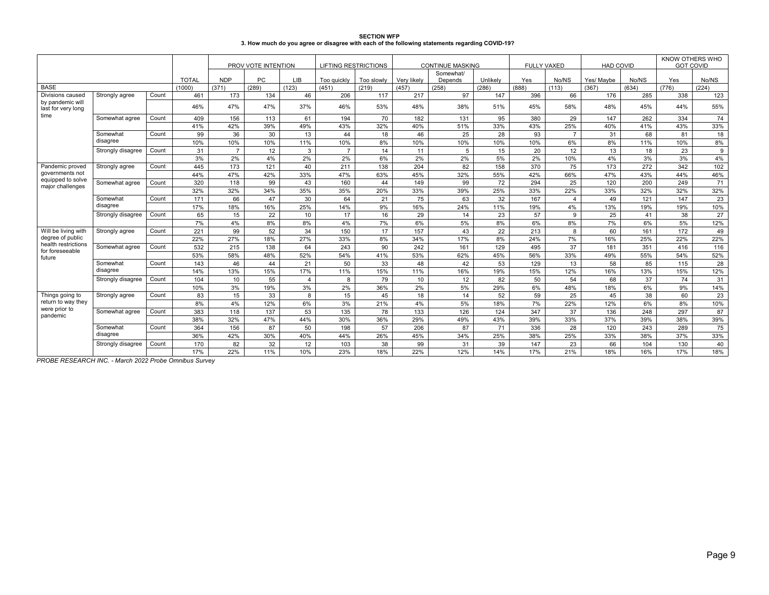| <b>SECTION WFP</b>                                                                             |  |
|------------------------------------------------------------------------------------------------|--|
| 3. How much do you agree or disagree with each of the following statements regarding COVID-19? |  |

|                                        |                      |       |              |                | PROV VOTE INTENTION |                | <b>LIFTING RESTRICTIONS</b> |            |             | <b>CONTINUE MASKING</b> |          | <b>FULLY VAXED</b> |                | <b>HAD COVID</b> |       |       | KNOW OTHERS WHO<br><b>GOT COVID</b> |
|----------------------------------------|----------------------|-------|--------------|----------------|---------------------|----------------|-----------------------------|------------|-------------|-------------------------|----------|--------------------|----------------|------------------|-------|-------|-------------------------------------|
|                                        |                      |       | <b>TOTAL</b> | <b>NDP</b>     | PC.                 | LIB            | Too guickly                 | Too slowly | Verv likely | Somewhat/<br>Depends    | Unlikely | Yes                | No/NS          | Yes/ Maybe       | No/NS | Yes   | No/NS                               |
| <b>BASE</b>                            |                      |       | (1000)       | (371)          | (289)               | (123)          | (451)                       | (219)      | (457)       | (258)                   | (286)    | (888)              | (113)          | (367)            | (634) | (776) | (224)                               |
| Divisions caused                       | Strongly agree       | Count | 461          | 173            | 134                 | 46             | 206                         | 117        | 217         | 97                      | 147      | 396                | 66             | 176              | 285   | 338   | 123                                 |
| by pandemic will<br>last for very long |                      |       | 46%          | 47%            | 47%                 | 37%            | 46%                         | 53%        | 48%         | 38%                     | 51%      | 45%                | 58%            | 48%              | 45%   | 44%   | 55%                                 |
| time                                   | Somewhat agree       | Count | 409          | 156            | 113                 | 61             | 194                         | 70         | 182         | 131                     | 95       | 380                | 29             | 147              | 262   | 334   | 74                                  |
|                                        |                      |       | 41%          | 42%            | 39%                 | 49%            | 43%                         | 32%        | 40%         | 51%                     | 33%      | 43%                | 25%            | 40%              | 41%   | 43%   | 33%                                 |
|                                        | Somewhat             | Count | 99           | 36             | 30                  | 13             | 44                          | 18         | 46          | 25                      | 28       | 93                 | $\overline{7}$ | 31               | 68    | 81    | 18                                  |
|                                        | disagree             |       | 10%          | 10%            | 10%                 | 11%            | 10%                         | 8%         | 10%         | 10%                     | 10%      | 10%                | 6%             | 8%               | 11%   | 10%   | 8%                                  |
|                                        | Strongly disagree    | Count | 31           | $\overline{7}$ | 12                  | 3              | $\overline{7}$              | 14         | 11          | 5                       | 15       | 20                 | 12             | 13               | 18    | 23    | 9                                   |
|                                        |                      |       | 3%           | 2%             | 4%                  | 2%             | 2%                          | 6%         | 2%          | 2%                      | 5%       | 2%                 | 10%            | 4%               | 3%    | 3%    | 4%                                  |
| Pandemic proved                        | Strongly agree       | Count | 445          | 173            | 121                 | 40             | 211                         | 138        | 204         | 82                      | 158      | 370                | 75             | 173              | 272   | 342   | 102                                 |
| governments not                        |                      |       | 44%          | 47%            | 42%                 | 33%            | 47%                         | 63%        | 45%         | 32%                     | 55%      | 42%                | 66%            | 47%              | 43%   | 44%   | 46%                                 |
| equipped to solve                      | Somewhat agree       | Count | 320          | 118            | 99                  | 43             | 160                         | 44         | 149         | 99                      | 72       | 294                | 25             | 120              | 200   | 249   | 71                                  |
| major challenges                       |                      |       | 32%          | 32%            | 34%                 | 35%            | 35%                         | 20%        | 33%         | 39%                     | 25%      | 33%                | 22%            | 33%              | 32%   | 32%   | 32%                                 |
|                                        | Somewhat<br>disagree | Count | 171          | 66             | 47                  | 30             | 64                          | 21         | 75          | 63                      | 32       | 167                | $\overline{4}$ | 49               | 121   | 147   | 23                                  |
|                                        |                      |       | 17%          | 18%            | 16%                 | 25%            | 14%                         | 9%         | 16%         | 24%                     | 11%      | 19%                | 4%             | 13%              | 19%   | 19%   | 10%                                 |
|                                        | Strongly disagree    | Count | 65           | 15             | 22                  | 10             | 17                          | 16         | 29          | 14                      | 23       | 57                 | $\mathbf{Q}$   | 25               | 41    | 38    | 27                                  |
|                                        |                      |       | 7%           | 4%             | 8%                  | 8%             | 4%                          | 7%         | 6%          | 5%                      | 8%       | 6%                 | 8%             | 7%               | 6%    | 5%    | 12%                                 |
| Will be living with                    | Strongly agree       | Count | 221          | 99             | 52                  | 34             | 150                         | 17         | 157         | 43                      | 22       | 213                | 8              | 60               | 161   | 172   | 49                                  |
| degree of public                       |                      |       | 22%          | 27%            | 18%                 | 27%            | 33%                         | 8%         | 34%         | 17%                     | 8%       | 24%                | 7%             | 16%              | 25%   | 22%   | 22%                                 |
| health restrictions<br>for foreseeable | Somewhat agree       | Count | 532          | 215            | 138                 | 64             | 243                         | 90         | 242         | 161                     | 129      | 495                | 37             | 181              | 351   | 416   | 116                                 |
| future                                 |                      |       | 53%          | 58%            | 48%                 | 52%            | 54%                         | 41%        | 53%         | 62%                     | 45%      | 56%                | 33%            | 49%              | 55%   | 54%   | 52%                                 |
|                                        | Somewhat             | Count | 143          | 46             | 44                  | 21             | 50                          | 33         | 48          | 42                      | 53       | 129                | 13             | 58               | 85    | 115   | 28                                  |
|                                        | disagree             |       | 14%          | 13%            | 15%                 | 17%            | 11%                         | 15%        | 11%         | 16%                     | 19%      | 15%                | 12%            | 16%              | 13%   | 15%   | 12%                                 |
|                                        | Strongly disagree    | Count | 104          | 10             | 55                  | $\overline{4}$ | 8                           | 79         | 10          | 12                      | 82       | 50                 | 54             | 68               | 37    | 74    | 31                                  |
|                                        |                      |       | 10%          | 3%             | 19%                 | 3%             | 2%                          | 36%        | 2%          | 5%                      | 29%      | 6%                 | 48%            | 18%              | 6%    | 9%    | 14%                                 |
| Things going to                        | Strongly agree       | Count | 83           | 15             | 33                  | 8              | 15                          | 45         | 18          | 14                      | 52       | 59                 | 25             | 45               | 38    | 60    | 23                                  |
| return to way they                     |                      |       | 8%           | 4%             | 12%                 | 6%             | 3%                          | 21%        | 4%          | 5%                      | 18%      | 7%                 | 22%            | 12%              | 6%    | 8%    | 10%                                 |
| were prior to                          | Somewhat agree       | Count | 383          | 118            | 137                 | 53             | 135                         | 78         | 133         | 126                     | 124      | 347                | 37             | 136              | 248   | 297   | 87                                  |
| pandemic                               |                      |       | 38%          | 32%            | 47%                 | 44%            | 30%                         | 36%        | 29%         | 49%                     | 43%      | 39%                | 33%            | 37%              | 39%   | 38%   | 39%                                 |
|                                        | Somewhat             | Count | 364          | 156            | 87                  | 50             | 198                         | 57         | 206         | 87                      | 71       | 336                | 28             | 120              | 243   | 289   | 75                                  |
|                                        | disagree             |       | 36%          | 42%            | 30%                 | 40%            | 44%                         | 26%        | 45%         | 34%                     | 25%      | 38%                | 25%            | 33%              | 38%   | 37%   | 33%                                 |
|                                        | Strongly disagree    | Count | 170          | 82             | 32                  | 12             | 103                         | 38         | 99          | 31                      | 39       | 147                | 23             | 66               | 104   | 130   | 40                                  |
|                                        |                      |       | 17%          | 22%            | 11%                 | 10%            | 23%                         | 18%        | 22%         | 12%                     | 14%      | 17%                | 21%            | 18%              | 16%   | 17%   | 18%                                 |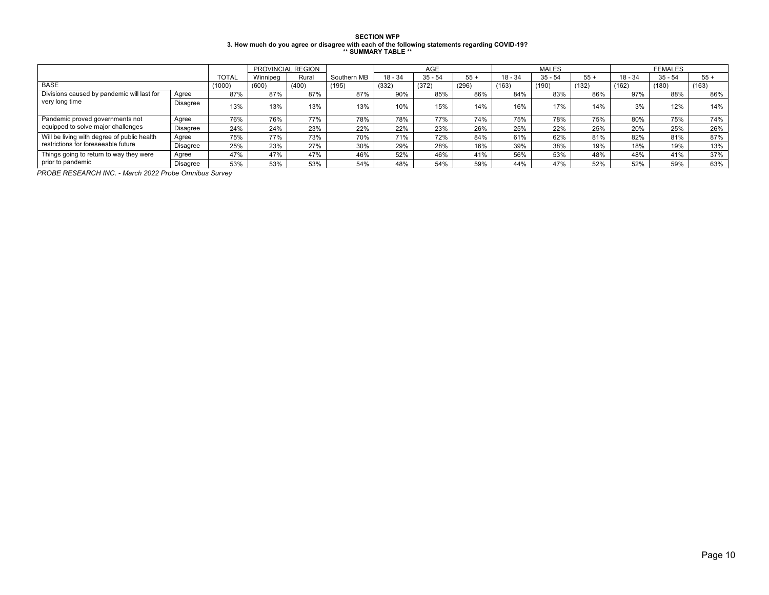# SECTION WFP<br>3. How much do you agree or disagree with each of the following statements regarding COVID-19?<br>\*\* SUMMARY TABLE \*\*

|                                             |                 |              | PROVINCIAL REGION |       |             | AGE       |           |       |           | <b>MALES</b> |       | <b>FEMALES</b> |           |       |
|---------------------------------------------|-----------------|--------------|-------------------|-------|-------------|-----------|-----------|-------|-----------|--------------|-------|----------------|-----------|-------|
|                                             |                 | <b>TOTAL</b> | Winnipeg          | Rural | Southern MB | $18 - 34$ | $35 - 54$ | $55+$ | $18 - 34$ | $35 - 54$    | $55+$ | 18 - 34        | $35 - 54$ | $55+$ |
| <b>BASE</b>                                 |                 | (1000)       | (600)             | (400) | (195)       | (332)     | (372)     | (296) | (163)     | (190)        | (132) | (162)          | (180)     | (163) |
| Divisions caused by pandemic will last for  | Agree           | 87%          | 87%               | 87%   | 87%         | 90%       | 85%       | 86%   | 84%       | 83%          | 86%   | 97%            | 88%       | 86%   |
| very long time                              | Disagree        | 13%          | 13%               | 13%   | 13%         | 10%       | 15%       | 14%   | 16%       | 17%          | 14%   | 3%             | 12%       | 14%   |
| Pandemic proved governments not             | Agree           | 76%          | 76%               | 77%   | 78%         | 78%       | 77%       | 74%   | 75%       | 78%          | 75%   | 80%            | 75%       | 74%   |
| equipped to solve major challenges          | Disagree        | 24%          | 24%               | 23%   | 22%         | 22%       | 23%       | 26%   | 25%       | 22%          | 25%   | 20%            | 25%       | 26%   |
| Will be living with degree of public health | Agree           | 75%          | 77%               | 73%   | 70%         | 71%       | 72%       | 84%   | 61%       | 62%          | 81%   | 82%            | 81%       | 87%   |
| restrictions for foreseeable future         | <b>Disagree</b> | 25%          | 23%               | 27%   | 30%         | 29%       | 28%       | 16%   | 39%       | 38%          | 19%   | 18%            | 19%       | 13%   |
| Things going to return to way they were     | Agree           | 47%          | 47%               | 47%   | 46%         | 52%       | 46%       | 41%   | 56%       | 53%          | 48%   | 48%            | 41%       | 37%   |
| prior to pandemic                           | <b>Disagree</b> | 53%          | 53%               | 53%   | 54%         | 48%       | 54%       | 59%   | 44%       | 47%          | 52%   | 52%            | 59%       | 63%   |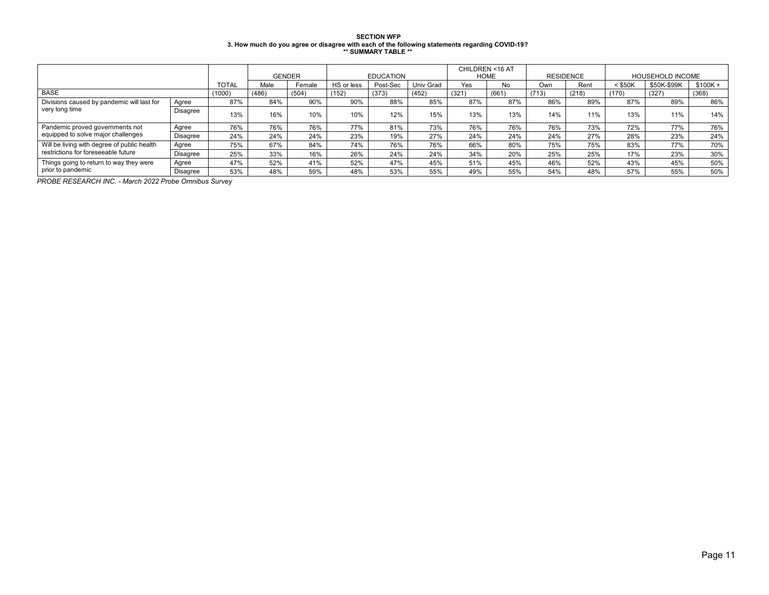# SECTION WFP<br>3. How much do you agree or disagree with each of the following statements regarding COVID-19?<br>\*\* SUMMARY TABLE \*\*

|                                             |          |              |       | <b>GENDER</b> |            | <b>EDUCATION</b> |           | CHILDREN <16 AT | <b>HOME</b> |       | <b>RESIDENCE</b> | <b>HOUSEHOLD INCOME</b> |             |           |  |
|---------------------------------------------|----------|--------------|-------|---------------|------------|------------------|-----------|-----------------|-------------|-------|------------------|-------------------------|-------------|-----------|--|
|                                             |          | <b>TOTAL</b> | Male  | Female        | HS or less | Post-Sec         | Univ Grad | Yes             | <b>No</b>   | Own   | Rent             | $<$ \$50K               | \$50K-\$99K | $$100K +$ |  |
| <b>BASE</b>                                 |          | (1000)       | (486) | (504)         | (152)      | (373)            | (452)     | (321)           | (661)       | (713) | (218)            | (170)                   | (327)       | (368)     |  |
| Divisions caused by pandemic will last for  | Agree    | 87%          | 84%   | 90%           | 90%        | 88%              | 85%       | 87%             | 87%         | 86%   | 89%              | 87%                     | 89%         | 86%       |  |
| very long time                              | Disagree | 13%          | 16%   | 10%           | 10%        | 12%              | 15%       | 13%             | 13%         | 14%   | 11%              | 13%                     | 11%         | 14%       |  |
| Pandemic proved governments not             | Agree    | 76%          | 76%   | 76%           | 77%        | 81%              | 73%       | 76%             | 76%         | 76%   | 73%              | 72%                     | 77%         | 76%       |  |
| equipped to solve major challenges          | Disagree | 24%          | 24%   | 24%           | 23%        | 19%              | 27%       | 24%             | 24%         | 24%   | 27%              | 28%                     | 23%         | 24%       |  |
| Will be living with degree of public health | Agree    | 75%          | 67%   | 84%           | 74%        | 76%              | 76%       | 66%             | 80%         | 75%   | 75%              | 83%                     | 77%         | 70%       |  |
| restrictions for foreseeable future         | Disagree | 25%          | 33%   | 16%           | 26%        | 24%              | 24%       | 34%             | 20%         | 25%   | 25%              | 17%                     | 23%         | 30%       |  |
| Things going to return to way they were     | Agree    | 47%          | 52%   | 41%           | 52%        | 47%              | 45%       | 51%             | 45%         | 46%   | 52%              | 43%                     | 45%         | 50%       |  |
| prior to pandemic                           | Disagree | 53%          | 48%   | 59%           | 48%        | 53%              | 55%       | 49%             | 55%         | 54%   | 48%              | 57%                     | 55%         | 50%       |  |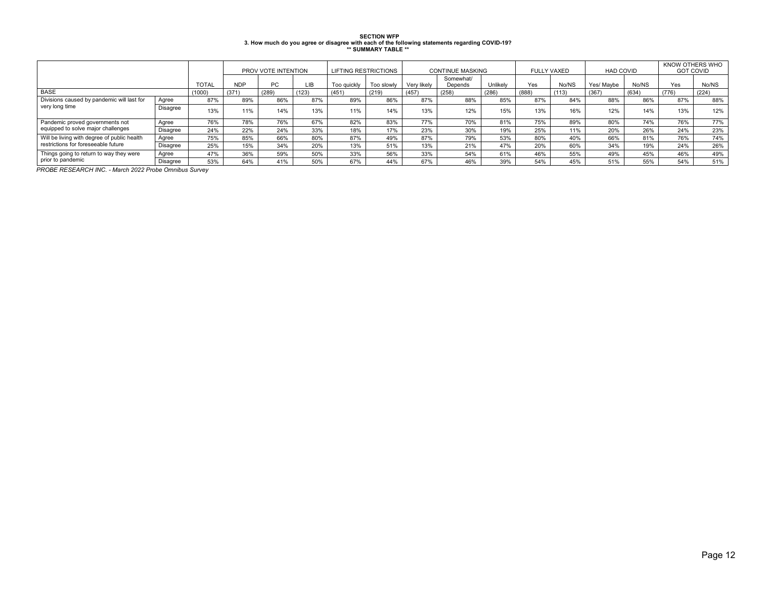| <b>SECTION WFP</b>                                                                             |
|------------------------------------------------------------------------------------------------|
| 3. How much do you agree or disagree with each of the following statements regarding COVID-19? |
| ** SUMMARY TABLE **                                                                            |

|                                             |          |              | PROV VOTE INTENTION |       |       | <b>LIFTING RESTRICTIONS</b> |            | <b>CONTINUE MASKING</b> |                      |          | <b>FULLY VAXED</b> |       | <b>HAD COVID</b> |       | KNOW OTHERS WHO<br><b>GOT COVID</b> |       |
|---------------------------------------------|----------|--------------|---------------------|-------|-------|-----------------------------|------------|-------------------------|----------------------|----------|--------------------|-------|------------------|-------|-------------------------------------|-------|
|                                             |          | <b>TOTAL</b> | <b>NDP</b>          | PC    | LIB   | Too quickly                 | Too slowly | Verv likely             | Somewhat/<br>Depends | Unlikelv | Yes                | No/NS | Yes/ Maybe       | No/NS | Yes                                 | No/NS |
| <b>BASE</b>                                 |          | (1000)       | (371)               | (289) | (123) | (451)                       | (219)      | (457)                   | (258)                | (286)    | (888)              | (113) | (367)            | (634) | (776)                               | (224) |
| Divisions caused by pandemic will last for  | Agree    | 87%          | 89%                 | 86%   | 87%   | 89%                         | 86%        | 87%                     | 88%                  | 85%      | 87%                | 84%   | 88%              | 86%   | 87%                                 | 88%   |
| very long time                              | Disagree | 13%          | 11%                 | 14%   | 13%   | 11%                         | 14%        | 13%                     | 12%                  | 15%      | 13%                | 16%   | 12%              | 14%   | 13%                                 | 12%   |
| Pandemic proved governments not             | Agree    | 76%          | 78%                 | 76%   | 67%   | 82%                         | 83%        | 77%                     | 70%                  | 81%      | 75%                | 89%   | 80%              | 74%   | 76%                                 | 77%   |
| equipped to solve major challenges          | Disagree | 24%          | 22%                 | 24%   | 33%   | 18%                         | 17%        | 23%                     | 30%                  | 19%      | 25%                | 11%   | 20%              | 26%   | 24%                                 | 23%   |
| Will be living with degree of public health | Agree    | 75%          | 85%                 | 66%   | 80%   | 87%                         | 49%        | 87%                     | 79%                  | 53%      | 80%                | 40%   | 66%              | 81%   | 76%                                 | 74%   |
| restrictions for foreseeable future         | Disagree | 25%          | 15%                 | 34%   | 20%   | 13%                         | 51%        | 13%                     | 21%                  | 47%      | 20%                | 60%   | 34%              | 19%   | 24%                                 | 26%   |
| Things going to return to way they were     | Agree    | 47%          | 36%                 | 59%   | 50%   | 33%                         | 56%        | 33%                     | 54%                  | 61%      | 46%                | 55%   | 49%              | 45%   | 46%                                 | 49%   |
| prior to pandemic                           | Disagree | 53%          | 64%                 | 41%   | 50%   | 67%                         | 44%        | 67%                     | 46%                  | 39%      | 54%                | 45%   | 51%              | 55%   | 54%                                 | 51%   |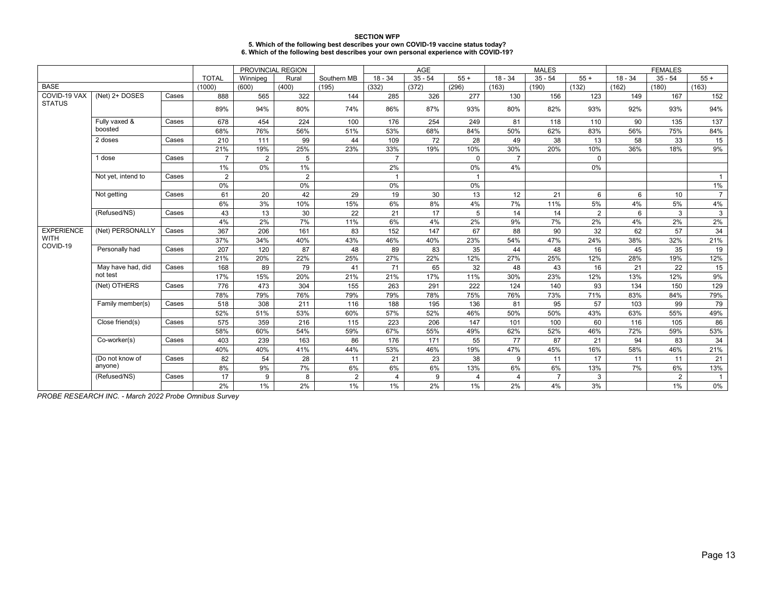| <b>SECTION WFP</b>                                                                   |
|--------------------------------------------------------------------------------------|
| 5. Which of the following best describes your own COVID-19 vaccine status today?     |
| 6. Which of the following best describes your own personal experience with COVID-19? |

|                   |                    |                |                |          | PROVINCIAL REGION |                |           | <b>AGE</b> |                |                | <b>MALES</b>   |                | <b>FEMALES</b> |                |                |  |
|-------------------|--------------------|----------------|----------------|----------|-------------------|----------------|-----------|------------|----------------|----------------|----------------|----------------|----------------|----------------|----------------|--|
|                   |                    |                | <b>TOTAL</b>   | Winnipeg | Rural             | Southern MB    | $18 - 34$ | $35 - 54$  | $55+$          | $18 - 34$      | $35 - 54$      | $55+$          | $18 - 34$      | $35 - 54$      | $55+$          |  |
| <b>BASE</b>       |                    |                | (1000)         | (600)    | (400)             | (195)          | (332)     | (372)      | (296)          | (163)          | (190)          | (132)          | (162)          | (180)          | (163)          |  |
| COVID-19 VAX      | (Net) 2+ DOSES     | Cases          | 888            | 565      | 322               | 144            | 285       | 326        | 277            | 130            | 156            | 123            | 149            | 167            | 152            |  |
| <b>STATUS</b>     |                    |                | 89%            | 94%      | 80%               | 74%            | 86%       | 87%        | 93%            | 80%            | 82%            | 93%            | 92%            | 93%            | 94%            |  |
|                   | Fully vaxed &      | Cases          | 678            | 454      | 224               | 100            | 176       | 254        | 249            | 81             | 118            | 110            | 90             | 135            | 137            |  |
|                   | boosted            |                | 68%            | 76%      | 56%               | 51%            | 53%       | 68%        | 84%            | 50%            | 62%            | 83%            | 56%            | 75%            | 84%            |  |
|                   | 2 doses            | Cases          | 210            | 111      | 99                | 44             | 109       | 72         | 28             | 49             | 38             | 13             | 58             | 33             | 15             |  |
|                   |                    |                | 21%            | 19%      | 25%               | 23%            | 33%       | 19%        | 10%            | 30%            | 20%            | 10%            | 36%            | 18%            | 9%             |  |
| 1 dose            | Cases              | $\overline{7}$ | $\overline{2}$ | 5        |                   | $\overline{7}$ |           | $\Omega$   | $\overline{7}$ |                | $\Omega$       |                |                |                |                |  |
|                   |                    |                | $1\%$          | 0%       | $1\%$             |                | 2%        |            | 0%             | 4%             |                | 0%             |                |                |                |  |
|                   | Not yet, intend to | Cases          | $\overline{2}$ |          | $\overline{2}$    |                | 1         |            | $\overline{1}$ |                |                |                |                |                | $\mathbf{1}$   |  |
|                   |                    |                | 0%             |          | 0%                |                | 0%        |            | 0%             |                |                |                |                |                | 1%             |  |
|                   | Not getting        | Cases          | 61             | 20       | 42                | 29             | 19        | 30         | 13             | 12             | 21             | 6              | 6              | 10             | $\overline{7}$ |  |
|                   |                    |                | 6%             | 3%       | 10%               | 15%            | 6%        | 8%         | 4%             | 7%             | 11%            | 5%             | 4%             | 5%             | 4%             |  |
|                   | (Refused/NS)       | Cases          | 43             | 13       | 30                | 22             | 21        | 17         | 5              | 14             | 14             | $\overline{2}$ | 6              | 3              | 3              |  |
|                   |                    |                | 4%             | 2%       | 7%                | 11%            | 6%        | 4%         | 2%             | 9%             | 7%             | 2%             | 4%             | 2%             | 2%             |  |
| <b>EXPERIENCE</b> | (Net) PERSONALLY   | Cases          | 367            | 206      | 161               | 83             | 152       | 147        | 67             | 88             | 90             | 32             | 62             | 57             | 34             |  |
| <b>WITH</b>       |                    |                | 37%            | 34%      | 40%               | 43%            | 46%       | 40%        | 23%            | 54%            | 47%            | 24%            | 38%            | 32%            | 21%            |  |
| COVID-19          | Personally had     | Cases          | 207            | 120      | 87                | 48             | 89        | 83         | 35             | 44             | 48             | 16             | 45             | 35             | 19             |  |
|                   |                    |                | 21%            | 20%      | 22%               | 25%            | 27%       | 22%        | 12%            | 27%            | 25%            | 12%            | 28%            | 19%            | 12%            |  |
|                   | May have had, did  | Cases          | 168            | 89       | 79                | 41             | 71        | 65         | 32             | 48             | 43             | 16             | 21             | 22             | 15             |  |
|                   | not test           |                | 17%            | 15%      | 20%               | 21%            | 21%       | 17%        | 11%            | 30%            | 23%            | 12%            | 13%            | 12%            | 9%             |  |
|                   | (Net) OTHERS       | Cases          | 776            | 473      | 304               | 155            | 263       | 291        | 222            | 124            | 140            | 93             | 134            | 150            | 129            |  |
|                   |                    |                | 78%            | 79%      | 76%               | 79%            | 79%       | 78%        | 75%            | 76%            | 73%            | 71%            | 83%            | 84%            | 79%            |  |
|                   | Family member(s)   | Cases          | 518            | 308      | 211               | 116            | 188       | 195        | 136            | 81             | 95             | 57             | 103            | 99             | 79             |  |
|                   |                    |                | 52%            | 51%      | 53%               | 60%            | 57%       | 52%        | 46%            | 50%            | 50%            | 43%            | 63%            | 55%            | 49%            |  |
|                   | Close friend(s)    | Cases          | 575            | 359      | 216               | 115            | 223       | 206        | 147            | 101            | 100            | 60             | 116            | 105            | 86             |  |
|                   |                    |                | 58%            | 60%      | 54%               | 59%            | 67%       | 55%        | 49%            | 62%            | 52%            | 46%            | 72%            | 59%            | 53%            |  |
|                   | Co-worker(s)       | Cases          | 403            | 239      | 163               | 86             | 176       | 171        | 55             | 77             | 87             | 21             | 94             | 83             | 34             |  |
|                   |                    |                | 40%            | 40%      | 41%               | 44%            | 53%       | 46%        | 19%            | 47%            | 45%            | 16%            | 58%            | 46%            | 21%            |  |
|                   | (Do not know of    | Cases          | 82             | 54       | 28                | 11             | 21        | 23         | 38             | 9              | 11             | 17             | 11             | 11             | 21             |  |
|                   | anyone)            |                | 8%             | 9%       | 7%                | 6%             | 6%        | 6%         | 13%            | 6%             | 6%             | 13%            | 7%             | 6%             | 13%            |  |
|                   | (Refused/NS)       | Cases          | 17             | 9        | 8                 | $\overline{2}$ | 4         | 9          | 4              | $\overline{4}$ | $\overline{7}$ | 3              |                | $\overline{2}$ | $\mathbf{1}$   |  |
|                   |                    |                | 2%             | 1%       | 2%                | $1\%$          | 1%        | 2%         | $1\%$          | 2%             | 4%             | 3%             |                | 1%             | 0%             |  |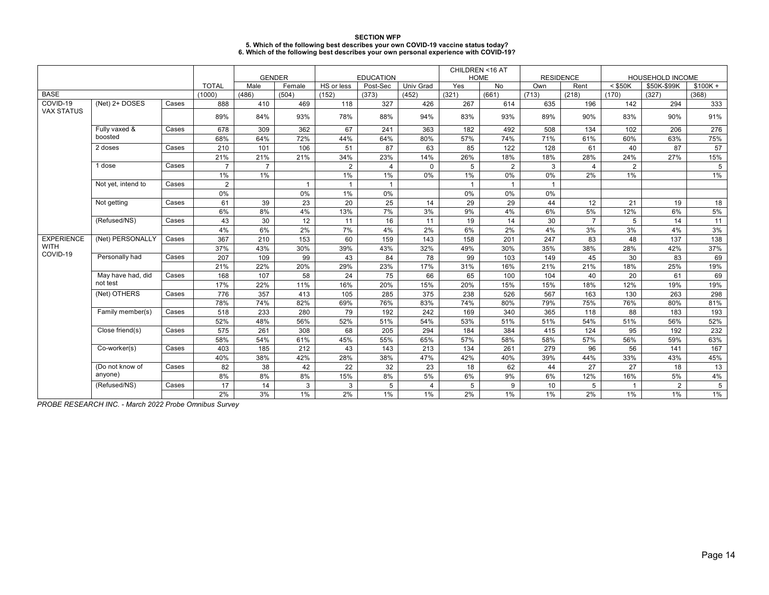| <b>SECTION WFP</b>                                                                   |
|--------------------------------------------------------------------------------------|
| 5. Which of the following best describes your own COVID-19 vaccine status today?     |
| 6. Which of the following best describes your own personal experience with COVID-19? |

|                         |                    |       | <b>GENDER</b><br><b>EDUCATION</b> |                | CHILDREN <16 AT<br><b>HOME</b> |                | <b>RESIDENCE</b> |                | HOUSEHOLD INCOME |                |              |                |                |                |           |
|-------------------------|--------------------|-------|-----------------------------------|----------------|--------------------------------|----------------|------------------|----------------|------------------|----------------|--------------|----------------|----------------|----------------|-----------|
|                         |                    |       | <b>TOTAL</b>                      | Male           | Female                         | HS or less     | Post-Sec         | Univ Grad      | Yes              | No             | Own          | Rent           | $<$ \$50K      | \$50K-\$99K    | $$100K +$ |
| <b>BASE</b>             |                    |       | (1000)                            | (486)          | (504)                          | (152)          | (373)            | (452)          | (321)            | (661)          | (713)        | (218)          | (170)          | (327)          | (368)     |
| COVID-19                | (Net) 2+ DOSES     | Cases | 888                               | 410            | 469                            | 118            | 327              | 426            | 267              | 614            | 635          | 196            | 142            | 294            | 333       |
| <b>VAX STATUS</b>       |                    |       | 89%                               | 84%            | 93%                            | 78%            | 88%              | 94%            | 83%              | 93%            | 89%          | 90%            | 83%            | 90%            | 91%       |
|                         |                    |       |                                   |                |                                |                |                  |                |                  |                |              |                |                |                |           |
|                         | Fully vaxed &      | Cases | 678                               | 309            | 362                            | 67             | 241              | 363            | 182              | 492            | 508          | 134            | 102            | 206            | 276       |
|                         | boosted            |       | 68%                               | 64%            | 72%                            | 44%            | 64%              | 80%            | 57%              | 74%            | 71%          | 61%            | 60%            | 63%            | 75%       |
|                         | 2 doses            | Cases | 210                               | 101            | 106                            | 51             | 87               | 63             | 85               | 122            | 128          | 61             | 40             | 87             | 57        |
|                         |                    |       | 21%                               | 21%            | 21%                            | 34%            | 23%              | 14%            | 26%              | 18%            | 18%          | 28%            | 24%            | 27%            | 15%       |
|                         | 1 dose             | Cases | $\overline{7}$                    | $\overline{7}$ |                                | $\overline{2}$ | 4                | $\Omega$       | 5                | $\overline{2}$ | 3            | $\overline{4}$ | $\overline{2}$ |                | 5         |
|                         |                    |       | $1\%$                             | $1\%$          |                                | $1\%$          | 1%               | 0%             | $1\%$            | 0%             | 0%           | 2%             | 1%             |                | $1\%$     |
|                         | Not yet, intend to | Cases | $\overline{2}$                    |                | $\mathbf{1}$                   |                | $\mathbf{1}$     |                | $\mathbf{1}$     | $\overline{1}$ | $\mathbf{1}$ |                |                |                |           |
|                         |                    |       | 0%                                |                | 0%                             | 1%             | 0%               |                | 0%               | 0%             | 0%           |                |                |                |           |
|                         | Not getting        | Cases | 61                                | 39             | 23                             | 20             | 25               | 14             | 29               | 29             | 44           | 12             | 21             | 19             | 18        |
|                         |                    |       | 6%                                | 8%             | 4%                             | 13%            | 7%               | 3%             | 9%               | 4%             | 6%           | 5%             | 12%            | 6%             | 5%        |
|                         | (Refused/NS)       | Cases | 43                                | 30             | 12                             | 11             | 16               | 11             | 19               | 14             | 30           | $\overline{7}$ | 5              | 14             | 11        |
|                         |                    |       | 4%                                | 6%             | 2%                             | 7%             | 4%               | 2%             | 6%               | 2%             | 4%           | 3%             | 3%             | 4%             | $3\%$     |
| <b>EXPERIENCE</b>       | (Net) PERSONALLY   | Cases | 367                               | 210            | 153                            | 60             | 159              | 143            | 158              | 201            | 247          | 83             | 48             | 137            | 138       |
| <b>WITH</b><br>COVID-19 |                    |       | 37%                               | 43%            | 30%                            | 39%            | 43%              | 32%            | 49%              | 30%            | 35%          | 38%            | 28%            | 42%            | 37%       |
|                         | Personally had     | Cases | 207                               | 109            | 99                             | 43             | 84               | 78             | 99               | 103            | 149          | 45             | 30             | 83             | 69        |
|                         |                    |       | 21%                               | 22%            | 20%                            | 29%            | 23%              | 17%            | 31%              | 16%            | 21%          | 21%            | 18%            | 25%            | 19%       |
|                         | May have had, did  | Cases | 168                               | 107            | 58                             | 24             | 75               | 66             | 65               | 100            | 104          | 40             | 20             | 61             | 69        |
|                         | not test           |       | 17%                               | 22%            | 11%                            | 16%            | 20%              | 15%            | 20%              | 15%            | 15%          | 18%            | 12%            | 19%            | 19%       |
|                         | (Net) OTHERS       | Cases | 776                               | 357            | 413                            | 105            | 285              | 375            | 238              | 526            | 567          | 163            | 130            | 263            | 298       |
|                         |                    |       | 78%                               | 74%            | 82%                            | 69%            | 76%              | 83%            | 74%              | 80%            | 79%          | 75%            | 76%            | 80%            | 81%       |
|                         | Family member(s)   | Cases | 518                               | 233            | 280                            | 79             | 192              | 242            | 169              | 340            | 365          | 118            | 88             | 183            | 193       |
|                         |                    |       | 52%                               | 48%            | 56%                            | 52%            | 51%              | 54%            | 53%              | 51%            | 51%          | 54%            | 51%            | 56%            | 52%       |
|                         | Close friend(s)    | Cases | 575                               | 261            | 308                            | 68             | 205              | 294            | 184              | 384            | 415          | 124            | 95             | 192            | 232       |
|                         |                    |       | 58%                               | 54%            | 61%                            | 45%            | 55%              | 65%            | 57%              | 58%            | 58%          | 57%            | 56%            | 59%            | 63%       |
|                         | Co-worker(s)       | Cases | 403                               | 185            | 212                            | 43             | 143              | 213            | 134              | 261            | 279          | 96             | 56             | 141            | 167       |
|                         |                    |       | 40%                               | 38%            | 42%                            | 28%            | 38%              | 47%            | 42%              | 40%            | 39%          | 44%            | 33%            | 43%            | 45%       |
|                         | (Do not know of    | Cases | 82                                | 38             | 42                             | 22             | 32               | 23             | 18               | 62             | 44           | 27             | 27             | 18             | 13        |
|                         | anyone)            |       | 8%                                | 8%             | 8%                             | 15%            | 8%               | 5%             | 6%               | 9%             | 6%           | 12%            | 16%            | 5%             | $4\%$     |
|                         | (Refused/NS)       | Cases | 17                                | 14             | 3                              | 3              | 5                | $\overline{4}$ | 5                | 9              | 10           | 5              | $\mathbf{1}$   | $\overline{2}$ | 5         |
|                         |                    |       | 2%                                | 3%             | 1%                             | 2%             | $1\%$            | $1\%$          | 2%               | 1%             | 1%           | 2%             | 1%             | 1%             | 1%        |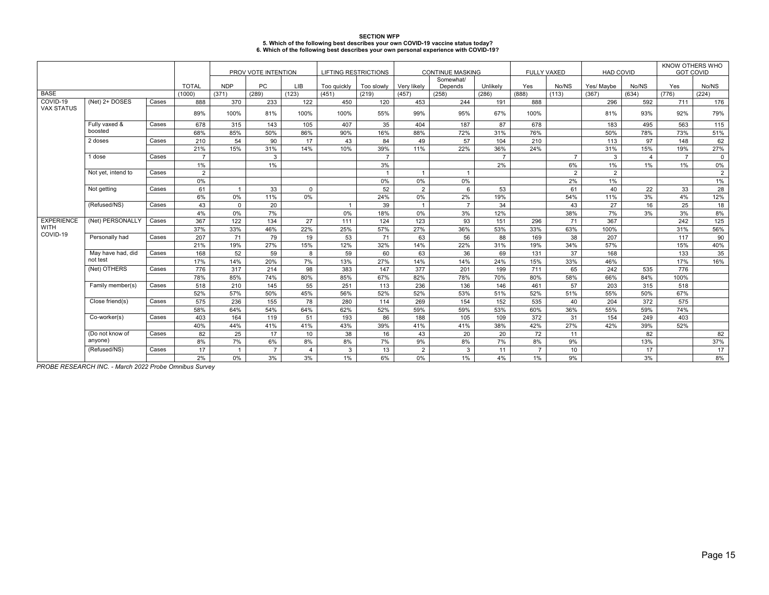| <b>SECTION WFP</b>                                                                   |
|--------------------------------------------------------------------------------------|
| 5. Which of the following best describes your own COVID-19 vaccine status today?     |
| 6. Which of the following best describes your own personal experience with COVID-19? |

|                   |                    |       |                | PROV VOTE INTENTION<br><b>LIFTING RESTRICTIONS</b> |                |                |              | <b>CONTINUE MASKING</b> |                |                      | <b>FULLY VAXED</b> | <b>HAD COVID</b> |                | KNOW OTHERS WHO<br><b>GOT COVID</b> |                |                |             |
|-------------------|--------------------|-------|----------------|----------------------------------------------------|----------------|----------------|--------------|-------------------------|----------------|----------------------|--------------------|------------------|----------------|-------------------------------------|----------------|----------------|-------------|
|                   |                    |       | <b>TOTAL</b>   | <b>NDP</b>                                         | PC             | <b>LIB</b>     | Too quickly  | Too slowly              | Very likely    | Somewhat/<br>Depends | Unlikely           | Yes              | No/NS          | Yes/ Maybe                          | No/NS          | Yes            | No/NS       |
| <b>BASE</b>       |                    |       | (1000)         | (371)                                              | (289)          | (123)          | (451)        | (219)                   | (457)          | (258)                | (286)              | (888)            | (113)          | (367)                               | (634)          | (776)          | (224)       |
| COVID-19          | (Net) 2+ DOSES     | Cases | 888            | 370                                                | 233            | 122            | 450          | 120                     | 453            | 244                  | 191                | 888              |                | 296                                 | 592            | 711            | 176         |
| <b>VAX STATUS</b> |                    |       | 89%            | 100%                                               | 81%            | 100%           | 100%         | 55%                     | 99%            | 95%                  | 67%                | 100%             |                | 81%                                 | 93%            | 92%            | 79%         |
|                   | Fully vaxed &      | Cases | 678            | 315                                                | 143            | 105            | 407          | 35                      | 404            | 187                  | 87                 | 678              |                | 183                                 | 495            | 563            | 115         |
|                   | boosted            |       | 68%            | 85%                                                | 50%            | 86%            | 90%          | 16%                     | 88%            | 72%                  | 31%                | 76%              |                | 50%                                 | 78%            | 73%            | 51%         |
|                   | 2 doses            | Cases | 210            | 54                                                 | 90             | 17             | 43           | 84                      | 49             | 57                   | 104                | 210              |                | 113                                 | 97             | 148            | 62          |
|                   |                    |       | 21%            | 15%                                                | 31%            | 14%            | 10%          | 39%                     | 11%            | 22%                  | 36%                | 24%              |                | 31%                                 | 15%            | 19%            | 27%         |
|                   | 1 dose             | Cases | $\overline{7}$ |                                                    | 3              |                |              | $\overline{7}$          |                |                      | $\overline{7}$     |                  | $\overline{7}$ | 3                                   | $\overline{4}$ | $\overline{7}$ | $\mathbf 0$ |
|                   |                    |       | 1%             |                                                    | 1%             |                |              | 3%                      |                |                      | 2%                 |                  | 6%             | 1%                                  | 1%             | 1%             | $0\%$       |
|                   | Not yet, intend to | Cases | 2              |                                                    |                |                |              | $\overline{1}$          | $\overline{1}$ | $\overline{1}$       |                    |                  | 2              | $\overline{2}$                      |                |                | 2           |
|                   |                    |       | $0\%$          |                                                    |                |                |              | 0%                      | 0%             | $0\%$                |                    |                  | 2%             | 1%                                  |                |                | $1\%$       |
|                   | Not getting        | Cases | 61             | $\overline{1}$                                     | 33             | $\mathbf 0$    |              | 52                      | $\overline{2}$ | 6                    | 53                 |                  | 61             | 40                                  | 22             | 33             | 28          |
|                   |                    |       | 6%             | $0\%$                                              | 11%            | 0%             |              | 24%                     | $0\%$          | 2%                   | 19%                |                  | 54%            | 11%                                 | 3%             | 4%             | 12%         |
|                   | (Refused/NS)       | Cases | 43             | $\Omega$                                           | 20             |                | $\mathbf{1}$ | 39                      | $\overline{1}$ | $\overline{7}$       | 34                 |                  | 43             | 27                                  | 16             | 25             | 18          |
|                   |                    |       | 4%             | 0%                                                 | 7%             |                | 0%           | 18%                     | 0%             | 3%                   | 12%                |                  | 38%            | 7%                                  | 3%             | 3%             | 8%          |
| <b>EXPERIENCE</b> | (Net) PERSONALLY   | Cases | 367            | 122                                                | 134            | 27             | 111          | 124                     | 123            | 93                   | 151                | 296              | 71             | 367                                 |                | 242            | 125         |
| <b>WITH</b>       |                    |       | 37%            | 33%                                                | 46%            | 22%            | 25%          | 57%                     | 27%            | 36%                  | 53%                | 33%              | 63%            | 100%                                |                | 31%            | 56%         |
| COVID-19          | Personally had     | Cases | 207            | 71                                                 | 79             | 19             | 53           | 71                      | 63             | 56                   | 88                 | 169              | 38             | 207                                 |                | 117            | 90          |
|                   |                    |       | 21%            | 19%                                                | 27%            | 15%            | 12%          | 32%                     | 14%            | 22%                  | 31%                | 19%              | 34%            | 57%                                 |                | 15%            | 40%         |
|                   | May have had, did  | Cases | 168            | 52                                                 | 59             | 8              | 59           | 60                      | 63             | 36                   | 69                 | 131              | 37             | 168                                 |                | 133            | 35          |
|                   | not test           |       | 17%            | 14%                                                | 20%            | 7%             | 13%          | 27%                     | 14%            | 14%                  | 24%                | 15%              | 33%            | 46%                                 |                | 17%            | 16%         |
|                   | (Net) OTHERS       | Cases | 776            | 317                                                | 214            | 98             | 383          | 147                     | 377            | 201                  | 199                | 711              | 65             | 242                                 | 535            | 776            |             |
|                   |                    |       | 78%            | 85%                                                | 74%            | 80%            | 85%          | 67%                     | 82%            | 78%                  | 70%                | 80%              | 58%            | 66%                                 | 84%            | 100%           |             |
|                   | Family member(s)   | Cases | 518            | 210                                                | 145            | 55             | 251          | 113                     | 236            | 136                  | 146                | 461              | 57             | 203                                 | 315            | 518            |             |
|                   |                    |       | 52%            | 57%                                                | 50%            | 45%            | 56%          | 52%                     | 52%            | 53%                  | 51%                | 52%              | 51%            | 55%                                 | 50%            | 67%            |             |
|                   | Close friend(s)    | Cases | 575            | 236                                                | 155            | 78             | 280          | 114                     | 269            | 154                  | 152                | 535              | 40             | 204                                 | 372            | 575            |             |
|                   |                    |       | 58%            | 64%                                                | 54%            | 64%            | 62%          | 52%                     | 59%            | 59%                  | 53%                | 60%              | 36%            | 55%                                 | 59%            | 74%            |             |
|                   | Co-worker(s)       | Cases | 403            | 164                                                | 119            | 51             | 193          | 86                      | 188            | 105                  | 109                | 372              | 31             | 154                                 | 249            | 403            |             |
|                   |                    |       | 40%            | 44%                                                | 41%            | 41%            | 43%          | 39%                     | 41%            | 41%                  | 38%                | 42%              | 27%            | 42%                                 | 39%            | 52%            |             |
|                   | (Do not know of    | Cases | 82             | 25                                                 | 17             | 10             | 38           | 16                      | 43             | 20                   | 20                 | 72               | 11             |                                     | 82             |                | 82          |
|                   | anyone)            |       | 8%             | 7%                                                 | 6%             | 8%             | 8%           | 7%                      | 9%             | 8%                   | 7%                 | 8%               | 9%             |                                     | 13%            |                | 37%         |
|                   | (Refused/NS)       | Cases | 17             | $\overline{1}$                                     | $\overline{7}$ | $\overline{4}$ | 3            | 13                      | $\overline{2}$ | 3                    | 11                 | $\overline{7}$   | 10             |                                     | 17             |                | 17          |
|                   |                    |       | 2%             | 0%                                                 | 3%             | 3%             | 1%           | 6%                      | 0%             | 1%                   | 4%                 | 1%               | 9%             |                                     | 3%             |                | 8%          |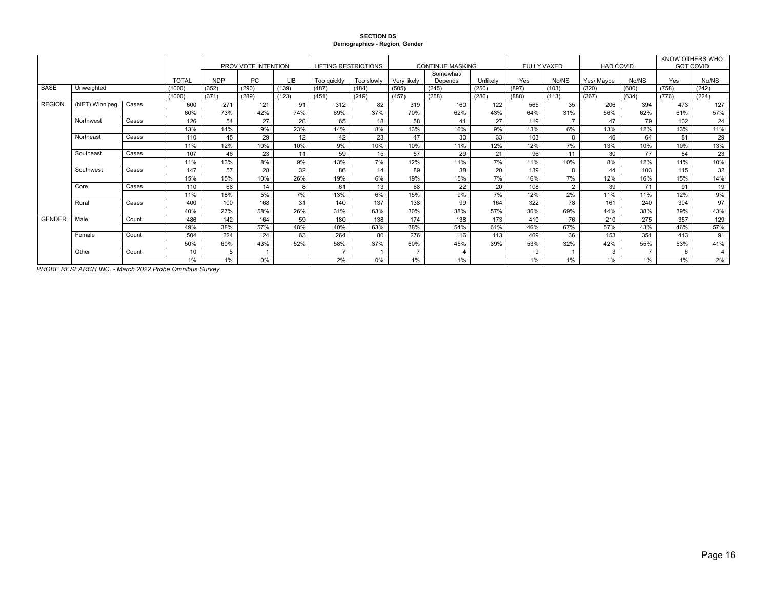### **SECTION DS Demographics - Region, Gender**

|               |                |       |              |            | PROV VOTE INTENTION |       | <b>LIFTING RESTRICTIONS</b> |            |                | <b>CONTINUE MASKING</b> |          | <b>FULLY VAXED</b> |                | <b>HAD COVID</b> |                | KNOW OTHERS WHO<br><b>GOT COVID</b> |                |
|---------------|----------------|-------|--------------|------------|---------------------|-------|-----------------------------|------------|----------------|-------------------------|----------|--------------------|----------------|------------------|----------------|-------------------------------------|----------------|
|               |                |       |              |            |                     |       |                             |            |                | Somewhat/               |          |                    |                |                  |                |                                     |                |
|               |                |       | <b>TOTAL</b> | <b>NDP</b> | PC                  | LІB   | Too guickly                 | Too slowly | Verv likelv    | Depends                 | Unlikely | Yes                | No/NS          | Yes/ Mavbe       | No/NS          | Yes                                 | No/NS          |
| <b>BASE</b>   | Unweighted     |       | (1000)       | (352)      | (290)               | (139) | (487)                       | (184)      | (505)          | (245)                   | (250)    | (897)              | (103)          | (320)            | (680)          | (758)                               | (242)          |
|               |                |       | (1000)       | (371)      | (289)               | (123) | (451)                       | (219)      | (457)          | (258)                   | (286)    | (888)              | (113)          | (367)            | (634)          | (776)                               | (224)          |
| <b>REGION</b> | (NET) Winnipeg | Cases | 600          | 271        | 121                 | 91    | 312                         | 82         | 319            | 160                     | 122      | 565                | 35             | 206              | 394            | 473                                 | 127            |
|               |                |       | 60%          | 73%        | 42%                 | 74%   | 69%                         | 37%        | 70%            | 62%                     | 43%      | 64%                | 31%            | 56%              | 62%            | 61%                                 | 57%            |
|               | Northwest      | Cases | 126          | 54         | 27                  | 28    | 65                          | 18         | 58             | 41                      | 27       | 119                | $\overline{ }$ | 47               | 79             | 102                                 | 24             |
|               |                |       | 13%          | 14%        | 9%                  | 23%   | 14%                         | 8%         | 13%            | 16%                     | 9%       | 13%                | 6%             | 13%              | 12%            | 13%                                 | 11%            |
|               | Northeast      | Cases | 110          | 45         | 29                  | 12    | 42                          | 23         | 47             | 30                      | 33       | 103                | $\mathsf{R}$   | 46               | 64             | 81                                  | 29             |
|               |                |       | 11%          | 12%        | 10%                 | 10%   | 9%                          | 10%        | 10%            | 11%                     | 12%      | 12%                | 7%             | 13%              | 10%            | 10%                                 | 13%            |
|               | Southeast      | Cases | 107          | 46         | 23                  | 11    | 59                          | 15         | 57             | 29                      | 21       | 96                 | 11             | 30               | 77             | 84                                  | 23             |
|               |                |       | 11%          | 13%        | 8%                  | 9%    | 13%                         | 7%         | 12%            | 11%                     | 7%       | 11%                | 10%            | 8%               | 12%            | 11%                                 | 10%            |
|               | Southwest      | Cases | 147          | 57         | 28                  | 32    | 86                          | 14         | 89             | 38                      | 20       | 139                | 8              | 44               | 103            | 115                                 | 32             |
|               |                |       | 15%          | 15%        | 10%                 | 26%   | 19%                         | 6%         | 19%            | 15%                     | 7%       | 16%                | 7%             | 12%              | 16%            | 15%                                 | 14%            |
|               | Core           | Cases | 110          | 68         | 14                  | 8     | 61                          | 13         | 68             | 22                      | 20       | 108                | 2              | 39               | 71             | 91                                  | 19             |
|               |                |       | 11%          | 18%        | 5%                  | 7%    | 13%                         | 6%         | 15%            | 9%                      | 7%       | 12%                | 2%             | 11%              | 11%            | 12%                                 | 9%             |
|               | Rural          | Cases | 400          | 100        | 168                 | 31    | 140                         | 137        | 138            | 99                      | 164      | 322                | 78             | 161              | 240            | 304                                 | 97             |
|               |                |       | 40%          | 27%        | 58%                 | 26%   | 31%                         | 63%        | 30%            | 38%                     | 57%      | 36%                | 69%            | 44%              | 38%            | 39%                                 | 43%            |
| <b>GENDER</b> | Male           | Count | 486          | 142        | 164                 | 59    | 180                         | 138        | 174            | 138                     | 173      | 410                | 76             | 210              | 275            | 357                                 | 129            |
|               |                |       | 49%          | 38%        | 57%                 | 48%   | 40%                         | 63%        | 38%            | 54%                     | 61%      | 46%                | 67%            | 57%              | 43%            | 46%                                 | 57%            |
|               | Female         | Count | 504          | 224        | 124                 | 63    | 264                         | 80         | 276            | 116                     | 113      | 469                | 36             | 153              | 351            | 413                                 | 91             |
|               |                |       | 50%          | 60%        | 43%                 | 52%   | 58%                         | 37%        | 60%            | 45%                     | 39%      | 53%                | 32%            | 42%              | 55%            | 53%                                 | 41%            |
|               | Other          | Count | 10           | 5          |                     |       | $\rightarrow$               |            | $\overline{ }$ | $\overline{4}$          |          | 9                  |                | 3                | $\overline{ }$ | $\epsilon$                          | $\overline{4}$ |
|               |                |       | 1%           | 1%         | 0%                  |       | 2%                          | 0%         | 1%             | 1%                      |          | 1%                 | 1%             | 1%               | 1%             | 1%                                  | 2%             |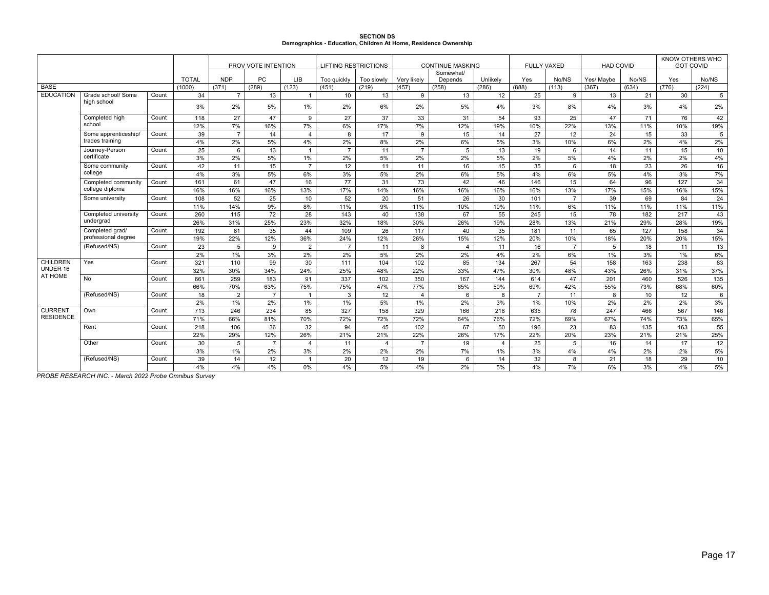# **SECTION DS Demographics - Education, Children At Home, Residence Ownership**

|                  |                           |       |              | PROV VOTE INTENTION |                | <b>LIFTING RESTRICTIONS</b> |                |            | <b>CONTINUE MASKING</b> | <b>FULLY VAXED</b>   |                | <b>HAD COVID</b> |                | KNOW OTHERS WHO<br><b>GOT COVID</b> |       |       |                |
|------------------|---------------------------|-------|--------------|---------------------|----------------|-----------------------------|----------------|------------|-------------------------|----------------------|----------------|------------------|----------------|-------------------------------------|-------|-------|----------------|
|                  |                           |       | <b>TOTAL</b> | <b>NDP</b>          | <b>PC</b>      | <b>LIB</b>                  | Too guickly    | Too slowly | Verv likelv             | Somewhat/<br>Depends | Unlikely       | Yes              | No/NS          | Yes/ Mavbe                          | No/NS | Yes   | No/NS          |
| <b>BASE</b>      |                           |       | (1000)       | (371)               | (289)          | (123)                       | (451)          | (219)      | (457)                   | (258)                | (286)          | (888)            | (113)          | (367)                               | (634) | (776) | (224)          |
| <b>EDUCATION</b> | Grade school/ Some        | Count | 34           | $\overline{7}$      | 13             | $\mathbf{1}$                | 10             | 13         | 9                       | 13                   | 12             | 25               | 9              | 13                                  | 21    | 30    | 5              |
|                  | high school               |       | 3%           | 2%                  | 5%             | 1%                          | 2%             | 6%         | 2%                      | 5%                   | 4%             | 3%               | 8%             | 4%                                  | 3%    | 4%    | 2%             |
|                  | Completed high            | Count | 118          | 27                  | 47             | 9                           | 27             | 37         | 33                      | 31                   | 54             | 93               | 25             | 47                                  | 71    | 76    | 42             |
|                  | school                    |       | 12%          | 7%                  | 16%            | 7%                          | 6%             | 17%        | 7%                      | 12%                  | 19%            | 10%              | 22%            | 13%                                 | 11%   | 10%   | 19%            |
|                  | Some apprenticeship/      | Count | 39           | $\overline{7}$      | 14             | $\overline{4}$              | 8              | 17         | 9                       | 15                   | 14             | 27               | 12             | 24                                  | 15    | 33    | $\overline{5}$ |
|                  | trades training           |       | 4%           | 2%                  | 5%             | 4%                          | 2%             | 8%         | 2%                      | 6%                   | 5%             | 3%               | 10%            | 6%                                  | 2%    | 4%    | 2%             |
|                  | Journey-Person            | Count | 25           | 6                   | 13             | $\mathbf{1}$                | $\overline{7}$ | 11         | $\overline{7}$          | 5                    | 13             | 19               | 6              | 14                                  | 11    | 15    | 10             |
|                  | certificate               |       | 3%           | 2%                  | 5%             | 1%                          | 2%             | 5%         | 2%                      | 2%                   | 5%             | 2%               | 5%             | 4%                                  | 2%    | 2%    | 4%             |
|                  | Some community<br>college |       | 42           | 11                  | 15             | $\overline{7}$              | 12             | 11         | 11                      | 16                   | 15             | 35               | 6              | 18                                  | 23    | 26    | 16             |
|                  |                           |       | 4%           | 3%                  | 5%             | 6%                          | 3%             | 5%         | 2%                      | 6%                   | 5%             | 4%               | 6%             | 5%                                  | 4%    | 3%    | 7%             |
|                  | Completed community       | Count | 161          | 61                  | 47             | 16                          | 77             | 31         | 73                      | 42                   | 46             | 146              | 15             | 64                                  | 96    | 127   | 34             |
|                  | college diploma           |       | 16%          | 16%                 | 16%            | 13%                         | 17%            | 14%        | 16%                     | 16%                  | 16%            | 16%              | 13%            | 17%                                 | 15%   | 16%   | 15%            |
|                  | Some university           | Count | 108          | 52                  | 25             | 10                          | 52             | 20         | 51                      | 26                   | 30             | 101              | $\overline{7}$ | 39                                  | 69    | 84    | 24             |
|                  |                           |       | 11%          | 14%                 | 9%             | 8%                          | 11%            | 9%         | 11%                     | 10%                  | 10%            | 11%              | 6%             | 11%                                 | 11%   | 11%   | 11%            |
|                  | Completed university      | Count | 260          | 115                 | 72             | 28                          | 143            | 40         | 138                     | 67                   | 55             | 245              | 15             | 78                                  | 182   | 217   | 43             |
|                  | undergrad                 |       | 26%          | 31%                 | 25%            | 23%                         | 32%            | 18%        | 30%                     | 26%                  | 19%            | 28%              | 13%            | 21%                                 | 29%   | 28%   | 19%            |
|                  | Completed grad/           | Count | 192          | 81                  | 35             | 44                          | 109            | 26         | 117                     | 40                   | 35             | 181              | 11             | 65                                  | 127   | 158   | 34             |
|                  | professional degree       |       | 19%          | 22%                 | 12%            | 36%                         | 24%            | 12%        | 26%                     | 15%                  | 12%            | 20%              | 10%            | 18%                                 | 20%   | 20%   | 15%            |
|                  | (Refused/NS)              | Count | 23           | 5                   | 9              | $\overline{2}$              | $\overline{7}$ | 11         | 8                       | $\overline{4}$       | 11             | 16               | $\overline{7}$ | 5                                   | 18    | 11    | 13             |
|                  |                           |       | 2%           | 1%                  | 3%             | 2%                          | 2%             | 5%         | 2%                      | 2%                   | 4%             | 2%               | 6%             | 1%                                  | 3%    | 1%    | 6%             |
| CHILDREN         | Yes                       | Count | 321          | 110                 | 99             | 30                          | 111            | 104        | 102                     | 85                   | 134            | 267              | 54             | 158                                 | 163   | 238   | 83             |
| UNDER 16         |                           |       | 32%          | 30%                 | 34%            | 24%                         | 25%            | 48%        | 22%                     | 33%                  | 47%            | 30%              | 48%            | 43%                                 | 26%   | 31%   | 37%            |
| AT HOME          | No                        | Count | 661          | 259                 | 183            | 91                          | 337            | 102        | 350                     | 167                  | 144            | 614              | 47             | 201                                 | 460   | 526   | 135            |
|                  |                           |       | 66%          | 70%                 | 63%            | 75%                         | 75%            | 47%        | 77%                     | 65%                  | 50%            | 69%              | 42%            | 55%                                 | 73%   | 68%   | 60%            |
|                  | (Refused/NS)              | Count | 18           | $\overline{2}$      | $\overline{7}$ | $\overline{1}$              | 3              | 12         | $\overline{4}$          | 6                    | 8              | $\overline{7}$   | 11             | 8                                   | 10    | 12    | 6              |
|                  |                           |       | 2%           | 1%                  | 2%             | 1%                          | 1%             | 5%         | 1%                      | 2%                   | 3%             | 1%               | 10%            | 2%                                  | 2%    | 2%    | 3%             |
| <b>CURRENT</b>   | Own                       | Count | 713          | 246                 | 234            | 85                          | 327            | 158        | 329                     | 166                  | 218            | 635              | 78             | 247                                 | 466   | 567   | 146            |
| <b>RESIDENCE</b> |                           |       | 71%          | 66%                 | 81%            | 70%                         | 72%            | 72%        | 72%                     | 64%                  | 76%            | 72%              | 69%            | 67%                                 | 74%   | 73%   | 65%            |
|                  | Rent                      | Count | 218          | 106                 | 36             | 32                          | 94             | 45         | 102                     | 67                   | 50             | 196              | 23             | 83                                  | 135   | 163   | 55             |
|                  |                           |       | 22%          | 29%                 | 12%            | 26%                         | 21%            | 21%        | 22%                     | 26%                  | 17%            | 22%              | 20%            | 23%                                 | 21%   | 21%   | 25%            |
|                  | Other                     | Count | 30           | 5                   | $\overline{7}$ | 4                           | 11             | 4          | $\overline{7}$          | 19                   | $\overline{4}$ | 25               | 5              | 16                                  | 14    | 17    | 12             |
|                  |                           |       | 3%           | 1%                  | 2%             | 3%                          | 2%             | 2%         | 2%                      | 7%                   | 1%             | 3%               | 4%             | 4%                                  | 2%    | 2%    | 5%             |
|                  | (Refused/NS)              | Count | 39           | 14                  | 12             | $\overline{1}$              | 20             | 12         | 19                      | 6                    | 14             | 32               | 8              | 21                                  | 18    | 29    | 10             |
|                  |                           |       | 4%           | 4%                  | 4%             | 0%                          | 4%             | 5%         | 4%                      | 2%                   | 5%             | 4%               | 7%             | 6%                                  | 3%    | 4%    | 5%             |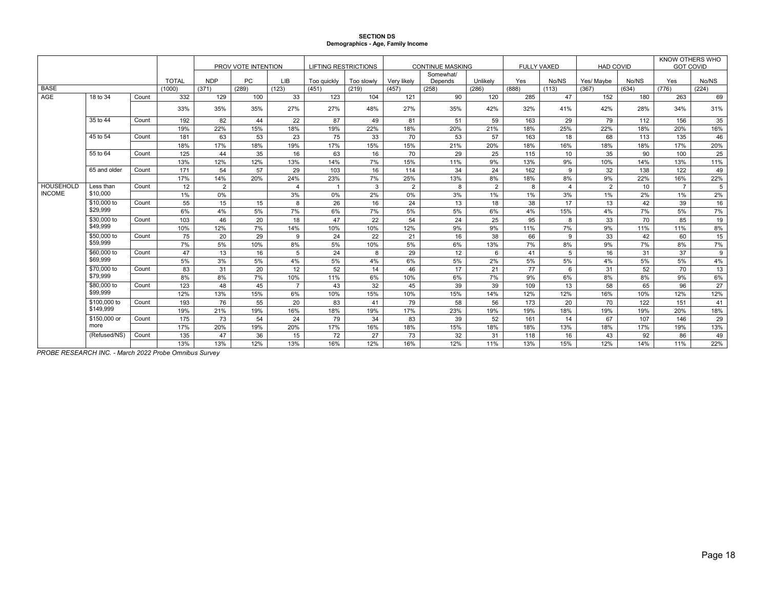### **SECTION DS Demographics - Age, Family Income**

|                            |                   |       |              | PROV VOTE INTENTION |           |                | <b>LIFTING RESTRICTIONS</b> |            |                | <b>CONTINUE MASKING</b> |                | <b>FULLY VAXED</b> |                | <b>HAD COVID</b> |       | KNOW OTHERS WHO<br><b>GOT COVID</b> |       |
|----------------------------|-------------------|-------|--------------|---------------------|-----------|----------------|-----------------------------|------------|----------------|-------------------------|----------------|--------------------|----------------|------------------|-------|-------------------------------------|-------|
|                            |                   |       | <b>TOTAL</b> | <b>NDP</b>          | <b>PC</b> | <b>LIB</b>     | Too guickly                 | Too slowly | Verv likelv    | Somewhat/<br>Depends    | Unlikely       | Yes                | No/NS          | Yes/ Maybe       | No/NS | Yes                                 | No/NS |
| <b>BASE</b>                |                   |       | (1000)       | (371)               | (289)     | (123)          | (451)                       | (219)      | (457)          | (258)                   | (286)          | (888)              | (113)          | (367)            | (634) | (776)                               | (224) |
| AGE                        | 18 to 34          | Count | 332          | 129                 | 100       | 33             | 123                         | 104        | 121            | 90                      | 120            | 285                | 47             | 152              | 180   | 263                                 | 69    |
|                            |                   |       | 33%          | 35%                 | 35%       | 27%            | 27%                         | 48%        | 27%            | 35%                     | 42%            | 32%                | 41%            | 42%              | 28%   | 34%                                 | 31%   |
|                            | 35 to 44          | Count | 192          | 82                  | 44        | 22             | 87                          | 49         | 81             | 51                      | 59             | 163                | 29             | 79               | 112   | 156                                 | 35    |
|                            |                   |       | 19%          | 22%                 | 15%       | 18%            | 19%                         | 22%        | 18%            | 20%                     | 21%            | 18%                | 25%            | 22%              | 18%   | 20%                                 | 16%   |
|                            | 45 to 54          | Count | 181          | 63                  | 53        | 23             | 75                          | 33         | 70             | 53                      | 57             | 163                | 18             | 68               | 113   | 135                                 | 46    |
|                            |                   |       | 18%          | 17%                 | 18%       | 19%            | 17%                         | 15%        | 15%            | 21%                     | 20%            | 18%                | 16%            | 18%              | 18%   | 17%                                 | 20%   |
|                            | 55 to 64<br>Count |       | 125          | 44                  | 35        | 16             | 63                          | 16         | 70             | 29                      | 25             | 115                | 10             | 35               | 90    | 100                                 | 25    |
|                            |                   |       | 13%          | 12%                 | 12%       | 13%            | 14%                         | 7%         | 15%            | 11%                     | 9%             | 13%                | 9%             | 10%              | 14%   | 13%                                 | 11%   |
|                            | 65 and older      | Count | 171          | 54                  | 57        | 29             | 103                         | 16         | 114            | 34                      | 24             | 162                | 9              | 32               | 138   | 122                                 | 49    |
|                            |                   |       | 17%          | 14%                 | 20%       | 24%            | 23%                         | 7%         | 25%            | 13%                     | 8%             | 18%                | 8%             | 9%               | 22%   | 16%                                 | 22%   |
| HOUSEHOLD<br><b>INCOME</b> | Less than         | Count | 12           | $\overline{2}$      |           | 4              | $\overline{1}$              | 3          | $\overline{2}$ | 8                       | $\overline{2}$ | 8                  | $\overline{4}$ | 2                | 10    | $\overline{7}$                      | 5     |
|                            | \$10,000          |       | 1%           | 0%                  |           | 3%             | 0%                          | 2%         | 0%             | 3%                      | 1%             | 1%                 | 3%             | $1\%$            | 2%    | 1%                                  | 2%    |
|                            | \$10,000 to       | Count | 55           | 15                  | 15        | 8              | 26                          | 16         | 24             | 13                      | 18             | 38                 | 17             | 13               | 42    | 39                                  | 16    |
|                            | \$29,999          |       | 6%           | 4%                  | 5%        | 7%             | 6%                          | 7%         | 5%             | 5%                      | 6%             | 4%                 | 15%            | 4%               | 7%    | 5%                                  | 7%    |
|                            | \$30,000 to       | Count | 103          | 46                  | 20        | 18             | 47                          | 22         | 54             | 24                      | 25             | 95                 | 8              | 33               | 70    | 85                                  | 19    |
|                            | \$49,999          |       | 10%          | 12%                 | 7%        | 14%            | 10%                         | 10%        | 12%            | 9%                      | 9%             | 11%                | 7%             | 9%               | 11%   | 11%                                 | 8%    |
|                            | \$50,000 to       | Count | 75           | 20                  | 29        | 9              | 24                          | 22         | 21             | 16                      | 38             | 66                 | 9              | 33               | 42    | 60                                  | 15    |
|                            | \$59,999          |       | 7%           | 5%                  | 10%       | 8%             | 5%                          | 10%        | 5%             | 6%                      | 13%            | 7%                 | 8%             | 9%               | 7%    | 8%                                  | 7%    |
|                            | \$60,000 to       | Count | 47           | 13                  | 16        | 5              | 24                          | 8          | 29             | 12                      | 6              | 41                 | 5              | 16               | 31    | 37                                  | 9     |
|                            | \$69,999          |       | 5%           | 3%                  | 5%        | 4%             | 5%                          | 4%         | 6%             | 5%                      | 2%             | 5%                 | 5%             | 4%               | 5%    | 5%                                  | 4%    |
|                            | \$70,000 to       | Count | 83           | 31                  | 20        | 12             | 52                          | 14         | 46             | 17                      | 21             | 77                 | 6              | 31               | 52    | 70                                  | 13    |
|                            | \$79,999          |       | 8%           | 8%                  | 7%        | 10%            | 11%                         | 6%         | 10%            | 6%                      | 7%             | 9%                 | 6%             | 8%               | 8%    | 9%                                  | 6%    |
|                            | \$80,000 to       | Count | 123          | 48                  | 45        | $\overline{7}$ | 43                          | 32         | 45             | 39                      | 39             | 109                | 13             | 58               | 65    | 96                                  | 27    |
|                            | \$99,999          |       | 12%          | 13%                 | 15%       | 6%             | 10%                         | 15%        | 10%            | 15%                     | 14%            | 12%                | 12%            | 16%              | 10%   | 12%                                 | 12%   |
|                            | \$100,000 to      | Count | 193          | 76                  | 55        | 20             | 83                          | 41         | 79             | 58                      | 56             | 173                | 20             | 70               | 122   | 151                                 | 41    |
|                            | \$149.999         |       | 19%          | 21%                 | 19%       | 16%            | 18%                         | 19%        | 17%            | 23%                     | 19%            | 19%                | 18%            | 19%              | 19%   | 20%                                 | 18%   |
|                            | \$150,000 or      | Count | 175          | 73                  | 54        | 24             | 79                          | 34         | 83             | 39                      | 52             | 161                | 14             | 67               | 107   | 146                                 | 29    |
|                            | more              |       | 17%          | 20%                 | 19%       | 20%            | 17%                         | 16%        | 18%            | 15%                     | 18%            | 18%                | 13%            | 18%              | 17%   | 19%                                 | 13%   |
|                            | (Refused/NS)      | Count | 135          | 47                  | 36        | 15             | 72                          | 27         | 73             | 32                      | 31             | 118                | 16             | 43               | 92    | 86                                  | 49    |
|                            |                   |       | 13%          | 13%                 | 12%       | 13%            | 16%                         | 12%        | 16%            | 12%                     | 11%            | 13%                | 15%            | 12%              | 14%   | 11%                                 | 22%   |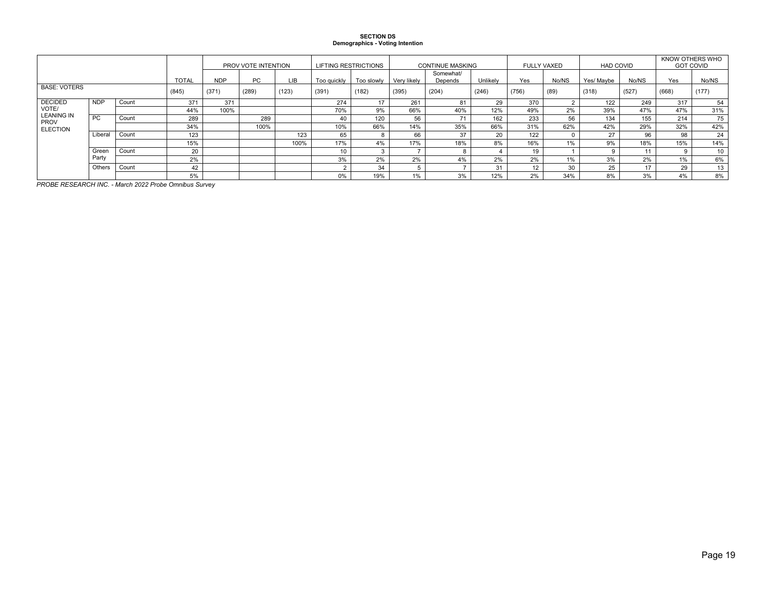### **SECTION DS Demographics - Voting Intention**

|                                  |            |       | PROV VOTE INTENTION |            |           | <b>LIFTING RESTRICTIONS</b> |                 |            | <b>CONTINUE MASKING</b> |                      | <b>FULLY VAXED</b> |      | <b>HAD COVID</b> |            | KNOW OTHERS WHO<br><b>GOT COVID</b> |       |       |
|----------------------------------|------------|-------|---------------------|------------|-----------|-----------------------------|-----------------|------------|-------------------------|----------------------|--------------------|------|------------------|------------|-------------------------------------|-------|-------|
|                                  |            |       | <b>TOTAL</b>        | <b>NDP</b> | <b>PC</b> | LIB.                        | Too guickly     | Too slowly | Verv likely             | Somewhat/<br>Depends | Unlikely           | Yes  | No/NS            | Yes/ Maybe | No/NS                               | Yes   | No/NS |
| <b>BASE: VOTERS</b>              |            | (845) | (371)               | (289)      | (123)     | (391)                       | (182)           | (395)      | (204)<br>(246)          |                      | (756)              | (89) | (318)            | (527)      | (668)                               | (177) |       |
| <b>DECIDED</b>                   | <b>NDP</b> | Count | 371                 | 371        |           |                             | 274             | 17         | 261                     | 81                   | 29                 | 370  |                  | 122        | 249                                 | 317   | 54    |
| VOTE/                            |            |       | 44%                 | 100%       |           |                             | 70%             | 9%         | 66%                     | 40%                  | 12%                | 49%  | 2%               | 39%        | 47%                                 | 47%   | 31%   |
| <b>LEANING IN</b><br><b>PROV</b> | <b>PC</b>  | Count | 289                 |            | 289       |                             | 40              | 120        | 56                      | – 4                  | 162                | 233  | 56               | 134        | 155                                 | 214   | 75    |
| <b>ELECTION</b>                  |            |       | 34%                 |            | 100%      |                             | 10%             | 66%        | 14%                     | 35%                  | 66%                | 31%  | 62%              | 42%        | 29%                                 | 32%   | 42%   |
|                                  | Liberal    | Count | 123                 |            |           | 123                         | 65              |            | 66                      | 37                   | 20                 | 122  |                  | 27         | 96                                  | 98    | 24    |
|                                  |            |       | 15%                 |            |           | 100%                        | 17%             | 4%         | 17%                     | 18%                  | 8%                 | 16%  | 1%               | 9%         | 18%                                 | 15%   | 14%   |
|                                  | Green      | Count | 20                  |            |           |                             | 10 <sup>1</sup> |            |                         |                      |                    | 19   |                  |            |                                     |       | 10    |
| Party                            |            |       | 2%                  |            |           |                             | 3%              | 2%         | 2%                      | 4%                   | 2%                 | 2%   | 1%               | 3%         | 2%                                  | $1\%$ | 6%    |
| Others<br>Count                  |            |       | 42                  |            |           |                             |                 | 34         |                         |                      | 31                 |      | 30               | 25         | $\overline{a}$                      | 29    | 13    |
|                                  |            |       | 5%                  |            |           |                             |                 | 19%        | 1%                      | 3%                   | 12%                | 2%   | 34%              | 8%         | 3%                                  | 4%    | 8%    |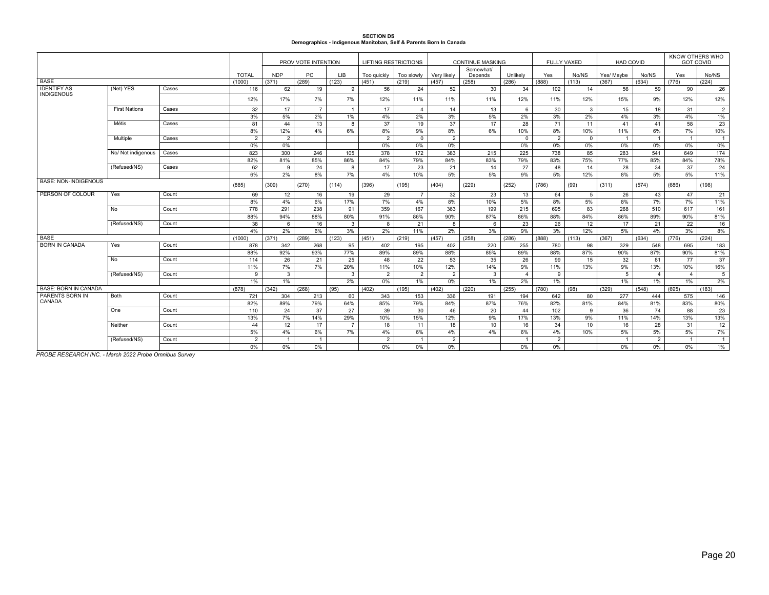#### **SECTION DS Demographics - Indigenous Manitoban, Self & Parents Born In Canada**

|                             |                      |       |                   | PROV VOTE INTENTION |                |                | <b>LIFTING RESTRICTIONS</b> |                 |                | <b>CONTINUE MASKING</b> |                 |                | <b>FULLY VAXED</b> | <b>HAD COVID</b> |                | KNOW OTHERS WHO<br><b>GOT COVID</b> |                |
|-----------------------------|----------------------|-------|-------------------|---------------------|----------------|----------------|-----------------------------|-----------------|----------------|-------------------------|-----------------|----------------|--------------------|------------------|----------------|-------------------------------------|----------------|
|                             |                      |       | <b>TOTAL</b>      | <b>NDP</b>          | <b>PC</b>      | <b>LIB</b>     | Too guickly                 | Too slowly      | Very likely    | Somewhat/<br>Depends    | Unlikelv        | Yes            | No/NS              | Yes/ Maybe       | No/NS          | Yes                                 | No/NS          |
| <b>BASE</b>                 |                      |       | (1000)            | (371)               | (289)          | (123)          | (451)                       | (219)           | (457)          | (258)                   | (286)           | (888)          | (113)              | (367)            | (634)          | (776)                               | (224)          |
| <b>IDENTIFY AS</b>          | (Net) YES            | Cases | 116               | 62                  | 19             | 9              | 56                          | 24              | 52             | 30                      | 34              | 102            | 14                 | 56               | 59             | 90                                  | 26             |
| <b>INDIGENOUS</b>           |                      |       | 12%               | 17%                 | 7%             | 7%             | 12%                         | 11%             | 11%            | 11%                     | 12%             | 11%            | 12%                | 15%              | 9%             | 12%                                 | 12%            |
|                             | <b>First Nations</b> | Cases | 32                | 17                  | $\overline{7}$ | $\overline{1}$ | 17                          | $\overline{4}$  | 14             | 13                      | 6               | 30             | 3                  | 15               | 18             | 31                                  | 2              |
|                             |                      |       | 3%                | 5%                  | 2%             | 1%             | 4%                          | 2%              | 3%             | 5%                      | 2%              | 3%             | 2%                 | 4%               | 3%             | 4%                                  | $1\%$          |
|                             | <b>Métis</b>         | Cases | 81                | 44                  | 13             | 8              | 37                          | 19              | 37             | 17                      | $\overline{28}$ | 71             | 11                 | 41               | 41             | 58                                  | 23             |
|                             |                      |       | 8%                | 12%                 | 4%             | 6%             | 8%                          | 9%              | 8%             | 6%                      | 10%             | 8%             | 10%                | 11%              | 6%             | 7%                                  | 10%            |
|                             | Multiple             | Cases | $\overline{2}$    | $\overline{2}$      |                |                | $\overline{2}$              | $\mathbf 0$     | 2              |                         | $\mathbf{0}$    | 2              | $\Omega$           | $\overline{1}$   | $\overline{1}$ | $\overline{1}$                      | 1              |
|                             |                      |       | 0%                | 0%                  |                |                | $0\%$                       | 0%              | 0%             |                         | $0\%$           | 0%             | 0%                 | 0%               | 0%             | 0%                                  | 0%             |
|                             | No/ Not indigenous   | Cases | 823               | 300                 | 246            | 105            | 378                         | 172             | 383            | 215                     | 225             | 738            | 85                 | 283              | 541            | 649                                 | 174            |
|                             |                      |       | 82%               | 81%                 | 85%            | 86%            | 84%                         | 79%             | 84%            | 83%                     | 79%             | 83%            | 75%                | 77%              | 85%            | 84%                                 | 78%            |
|                             | (Refused/NS)         | Cases | 62                | 9                   | 24             | 8              | 17                          | 23              | 21             | 14                      | 27              | 48             | 14                 | 28               | 34             | 37                                  | 24             |
|                             |                      |       | 6%                | 2%                  | 8%             | 7%             | 4%                          | 10%             | 5%             | 5%                      | 9%              | 5%             | 12%                | 8%               | 5%             | 5%                                  | 11%            |
| <b>BASE: NON-INDIGENOUS</b> |                      |       | (885)             | (309)               | (270)          | (114)          | (396)                       | (195)           | (404)          | (229)                   | (252)           | (786)          | (99)               | (311)            | (574)          | (686)                               | (198)          |
| PERSON OF COLOUR            | Yes                  | Count | 69                | 12                  | 16             | 19             | 29                          | $\overline{7}$  | 32             | 23                      | 13              | 64             | 5                  | 26               | 43             | 47                                  | 21             |
|                             |                      |       | 8%                | 4%                  | 6%             | 17%            | 7%                          | 4%              | 8%             | 10%                     | 5%              | 8%             | 5%                 | 8%               | 7%             | 7%                                  | 11%            |
|                             | No                   | Count | 778               | 291                 | 238            | 91             | 359                         | 167             | 363            | 199                     | 215             | 695            | 83                 | 268              | 510            | 617                                 | 161            |
|                             |                      |       | 88%               | 94%                 | 88%            | 80%            | 91%                         | 86%             | 90%            | 87%                     | 86%             | 88%            | 84%                | 86%              | 89%            | 90%                                 | 81%            |
|                             | (Refused/NS)         | Count | 38                | 6                   | 16             | $\mathbf{3}$   | 8                           | 21              | 8              | 6                       | 23              | 26             | 12                 | 17               | 21             | 22                                  | 16             |
|                             |                      |       | 4%                | 2%                  | 6%             | 3%             | 2%                          | 11%             | 2%             | 3%                      | 9%              | 3%             | 12%                | 5%               | 4%             | 3%                                  | 8%             |
| <b>BASE</b>                 |                      |       | (1000)            | (371)               | (289)          | (123)          | (451)                       | (219)           | (457)          | (258)                   | (286)           | (888)          | (113)              | (367)            | (634)          | (776)                               | (224)          |
| BORN IN CANADA              | Yes                  | Count | 878               | 342                 | 268            | 95             | 402                         | 195             | 402            | 220                     | 255             | 780            | 98                 | 329              | 548            | 695                                 | 183            |
|                             |                      |       | 88%               | 92%                 | 93%            | 77%            | 89%                         | 89%             | 88%            | 85%                     | 89%             | 88%            | 87%                | 90%              | 87%            | 90%                                 | 81%            |
|                             | No                   | Count | $\frac{114}{114}$ | 26                  | 21             | 25             | 48                          | $\overline{22}$ | 53             | 35                      | 26              | 99             | 15                 | 32               | 81             | $\overline{77}$                     | 37             |
|                             |                      |       | 11%               | 7%                  | 7%             | 20%            | 11%                         | 10%             | 12%            | 14%                     | 9%              | 11%            | 13%                | 9%               | 13%            | 10%                                 | 16%            |
|                             | (Refused/NS)         | Count | 9                 | $\mathbf{3}$        |                | $\mathbf{3}$   | $\overline{2}$              | $\overline{2}$  | 2              | $\mathbf{3}$            | $\overline{4}$  | 9              |                    | 5                | $\overline{4}$ | $\overline{4}$                      | 5 <sup>1</sup> |
|                             |                      |       | 1%                | 1%                  |                | 2%             | $0\%$                       | $1\%$           | 0%             | 1%                      | 2%              | 1%             |                    | 1%               | 1%             | 1%                                  | $2\%$          |
| <b>BASE: BORN IN CANADA</b> |                      |       | (878)             | (342)               | (268)          | (95)           | (402)                       | (195)           | (402)          | (220)                   | (255)           | (780)          | (98)               | (329)            | (548)          | (695)                               | (183)          |
| PARENTS BORN IN<br>CANADA   | Both                 | Count | 721               | 304                 | 213            | 60             | 343                         | 153             | 336            | 191                     | 194             | 642            | 80                 | 277              | 444            | 575                                 | 146            |
|                             |                      |       | 82%               | 89%                 | 79%            | 64%            | 85%                         | 79%             | 84%            | 87%                     | 76%             | 82%            | 81%                | 84%              | 81%            | 83%                                 | 80%            |
|                             | One                  | Count | 110               | 24                  | 37             | 27             | 39                          | 30              | 46             | 20                      | 44              | 102            | 9                  | 36               | 74             | 88                                  | 23             |
|                             |                      |       | 13%               | 7%                  | 14%            | 29%            | 10%                         | 15%             | 12%            | 9%                      | 17%             | 13%            | 9%                 | 11%              | 14%            | 13%                                 | 13%            |
|                             | Neither              | Count | 44                | 12 <sup>°</sup>     | 17             | $\overline{7}$ | 18                          | 11              | 18             | 10 <sup>10</sup>        | 16              | 34             | 10                 | 16               | 28             | 31                                  | 12             |
|                             |                      |       | 5%                | 4%                  | 6%             | 7%             | 4%                          | 6%              | 4%             | 4%                      | 6%              | 4%             | 10%                | 5%               | 5%             | 5%                                  | 7%             |
|                             | (Refused/NS)         | Count | 2                 | $\overline{1}$      | $\overline{1}$ |                | $\overline{2}$              | $\overline{1}$  | $\overline{2}$ |                         | $\overline{1}$  | $\overline{2}$ |                    | $\overline{1}$   | $\overline{2}$ | $\overline{1}$                      | 1              |
|                             |                      |       | 0%                | $0\%$               | 0%             |                | $0\%$                       | 0%              | $0\%$          |                         | $0\%$           | 0%             |                    | $0\%$            | 0%             | 0%                                  | 1%             |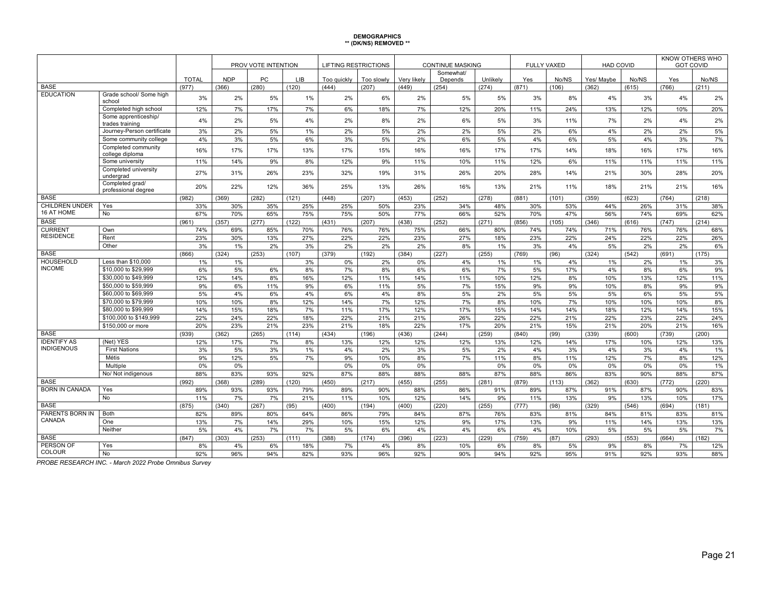# **DEMOGRAPHICS \*\* (DK/NS) REMOVED \*\***

|                                   |                                         |              | PROV VOTE INTENTION |          |            | <b>LIFTING RESTRICTIONS</b> |            | <b>CONTINUE MASKING</b> |                      |           |          | <b>FULLY VAXED</b> | <b>HAD COVID</b> |          | KNOW OTHERS WHO<br><b>GOT COVID</b> |           |
|-----------------------------------|-----------------------------------------|--------------|---------------------|----------|------------|-----------------------------|------------|-------------------------|----------------------|-----------|----------|--------------------|------------------|----------|-------------------------------------|-----------|
|                                   |                                         | <b>TOTAL</b> | <b>NDP</b>          | PC       | <b>LIB</b> | Too guickly                 | Too slowly | Very likely             | Somewhat/<br>Depends | Unlikely  | Yes      | No/NS              | Yes/ Maybe       | No/NS    | Yes                                 | No/NS     |
| <b>BASE</b>                       |                                         | (977)        | (366)               | (280)    | (120)      | (444)                       | (207)      | (449)                   | (254)                | (274)     | (871)    | (106)              | (362)            | (615)    | (766)                               | (211)     |
| <b>EDUCATION</b>                  | Grade school/ Some high<br>school       | 3%           | 2%                  | 5%       | 1%         | 2%                          | 6%         | 2%                      | 5%                   | 5%        | 3%       | 8%                 | 4%               | 3%       | 4%                                  | 2%        |
|                                   | Completed high school                   | 12%          | 7%                  | 17%      | 7%         | 6%                          | 18%        | 7%                      | 12%                  | 20%       | 11%      | 24%                | 13%              | 12%      | 10%                                 | 20%       |
|                                   | Some apprenticeship/<br>trades training | 4%           | 2%                  | 5%       | 4%         | 2%                          | 8%         | 2%                      | 6%                   | 5%        | 3%       | 11%                | 7%               | 2%       | 4%                                  | 2%        |
|                                   | Journey-Person certificate              | 3%           | 2%                  | 5%       | 1%         | 2%                          | 5%         | 2%                      | 2%                   | 5%        | 2%       | 6%                 | 4%               | 2%       | 2%                                  | 5%        |
|                                   | Some community college                  | 4%           | 3%                  | 5%       | 6%         | 3%                          | 5%         | 2%                      | 6%                   | 5%        | 4%       | 6%                 | 5%               | 4%       | 3%                                  | 7%        |
|                                   | Completed community<br>college diploma  | 16%          | 17%                 | 17%      | 13%        | 17%                         | 15%        | 16%                     | 16%                  | 17%       | 17%      | 14%                | 18%              | 16%      | 17%                                 | 16%       |
|                                   | Some university                         | 11%          | 14%                 | 9%       | 8%         | 12%                         | 9%         | 11%                     | 10%                  | 11%       | 12%      | 6%                 | 11%              | 11%      | 11%                                 | 11%       |
|                                   | Completed university<br>undergrad       | 27%          | 31%                 | 26%      | 23%        | 32%                         | 19%        | 31%                     | 26%                  | 20%       | 28%      | 14%                | 21%              | 30%      | 28%                                 | 20%       |
|                                   | Completed grad/<br>professional degree  | 20%          | 22%                 | 12%      | 36%        | 25%                         | 13%        | 26%                     | 16%                  | 13%       | 21%      | 11%                | 18%              | 21%      | 21%                                 | 16%       |
| <b>BASE</b>                       |                                         | (982)        | (369)               | (282)    | (121)      | (448)                       | (207)      | (453)                   | (252)                | (278)     | (881)    | (101)              | (359)            | (623)    | (764)                               | (218)     |
| <b>CHILDREN UNDER</b>             | Yes                                     | 33%          | 30%                 | 35%      | 25%        | 25%                         | 50%        | 23%                     | 34%                  | 48%       | 30%      | 53%                | 44%              | 26%      | 31%                                 | 38%       |
| 16 AT HOME                        | No                                      | 67%          | 70%                 | 65%      | 75%        | 75%                         | 50%        | 77%                     | 66%                  | 52%       | 70%      | 47%                | 56%              | 74%      | 69%                                 | 62%       |
| <b>BASE</b>                       |                                         | (961)        | (357)               | (277)    | (122)      | (431)                       | (207)      | (438)                   | (252)                | (271)     | (856)    | (105)              | (346)            | (616)    | (747)                               | (214)     |
| <b>CURRENT</b>                    | Own                                     | 74%          | 69%                 | 85%      | 70%        | 76%                         | 76%        | 75%                     | 66%                  | 80%       | 74%      | 74%                | 71%              | 76%      | 76%                                 | 68%       |
| <b>RESIDENCE</b>                  | Rent                                    | 23%          | 30%                 | 13%      | 27%        | 22%                         | 22%        | 23%                     | 27%                  | 18%       | 23%      | 22%                | 24%              | 22%      | 22%                                 | 26%       |
|                                   | Other                                   | 3%           | 1%                  | 2%       | 3%         | 2%                          | 2%         | 2%                      | 8%                   | 1%        | 3%       | 4%                 | 5%               | 2%       | 2%                                  | 6%        |
| <b>BASE</b>                       |                                         | (866)        | (324)               | (253)    | (107)      | (379)                       | (192)      | (384)                   | (227)                | (255)     | (769)    | (96)               | (324)            | (542)    | (691)                               | (175)     |
| <b>HOUSEHOLD</b>                  | Less than \$10,000                      | 1%           | 1%                  |          | 3%         | 0%                          | 2%         | 0%                      | 4%                   | 1%        | 1%       | 4%                 | 1%               | 2%       | 1%                                  | 3%        |
| <b>INCOME</b>                     | \$10,000 to \$29,999                    | 6%           | 5%                  | 6%       | 8%         | 7%                          | 8%         | 6%                      | 6%                   | 7%        | 5%       | 17%                | 4%               | 8%       | 6%                                  | 9%        |
|                                   | \$30,000 to \$49,999                    | 12%          | 14%                 | 8%       | 16%        | 12%                         | 11%        | 14%                     | 11%                  | 10%       | 12%      | 8%                 | 10%              | 13%      | 12%                                 | 11%       |
|                                   | \$50,000 to \$59,999                    | 9%           | 6%                  | 11%      | 9%         | 6%                          | 11%        | 5%                      | 7%                   | 15%       | 9%       | 9%                 | 10%              | 8%       | 9%                                  | 9%        |
|                                   | \$60,000 to \$69,999                    | 5%           | 4%                  | 6%       | 4%         | 6%                          | 4%         | 8%                      | 5%                   | 2%        | 5%       | 5%                 | 5%               | 6%       | 5%                                  | 5%        |
|                                   | \$70,000 to \$79.999                    | 10%          | 10%                 | 8%       | 12%        | 14%                         | 7%         | 12%                     | 7%                   | 8%        | 10%      | 7%                 | 10%              | 10%      | 10%                                 | 8%        |
|                                   | \$80,000 to \$99,999                    | 14%          | 15%                 | 18%      | 7%         | 11%                         | 17%        | 12%                     | 17%                  | 15%       | 14%      | 14%                | 18%              | 12%      | 14%                                 | 15%       |
|                                   | \$100,000 to \$149,999                  | 22%          | 24%                 | 22%      | 18%        | 22%                         | 21%        | 21%                     | 26%                  | 22%       | 22%      | 21%                | 22%              | 23%      | 22%                                 | 24%       |
|                                   | \$150,000 or more                       | 20%          | 23%                 | 21%      | 23%        | 21%                         | 18%        | 22%                     | 17%                  | 20%       | 21%      | 15%                | 21%              | 20%      | 21%                                 | 16%       |
| <b>BASE</b><br><b>IDENTIFY AS</b> |                                         | (939)        | (362)               | (265)    | (114)      | (434)                       | (196)      | (436)                   | (244)                | (259)     | (840)    | (99)               | (339)            | (600)    | (739)                               | (200)     |
| <b>INDIGENOUS</b>                 | (Net) YES<br><b>First Nations</b>       | 12%          | 17%                 | 7%       | 8%         | 13%                         | 12%        | 12%                     | 12%                  | 13%       | 12%      | 14%                | 17%              | 10%      | 12%                                 | 13%       |
|                                   | Métis                                   | 3%<br>9%     | 5%<br>12%           | 3%<br>5% | 1%<br>7%   | 4%<br>9%                    | 2%<br>10%  | 3%<br>8%                | 5%<br>7%             | 2%<br>11% | 4%<br>8% | 3%<br>11%          | 4%<br>12%        | 3%<br>7% | 4%<br>8%                            | 1%<br>12% |
|                                   | Multiple                                | 0%           | 0%                  |          |            | 0%                          | 0%         | 0%                      |                      | 0%        | 0%       | 0%                 | 0%               | 0%       | 0%                                  | 1%        |
|                                   | No/ Not indigenous                      | 88%          | 83%                 | 93%      | 92%        | 87%                         | 88%        | 88%                     | 88%                  | 87%       | 88%      | 86%                | 83%              | 90%      | 88%                                 | 87%       |
| <b>BASE</b>                       |                                         | (992)        | (368)               | (289)    | (120)      | (450)                       | (217)      | (455)                   | (255)                | (281)     | (879)    | (113)              | (362)            | (630)    | (772)                               | (220)     |
| <b>BORN IN CANADA</b>             | Yes                                     | 89%          | 93%                 | 93%      | 79%        | 89%                         | 90%        | 88%                     | 86%                  | 91%       | 89%      | 87%                | 91%              | 87%      | 90%                                 | 83%       |
|                                   | No                                      | 11%          | 7%                  | 7%       | 21%        | 11%                         | 10%        | 12%                     | 14%                  | 9%        | 11%      | 13%                | 9%               | 13%      | 10%                                 | 17%       |
| <b>BASE</b>                       |                                         | (875)        | (340)               | (267)    | (95)       | (400)                       | (194)      | (400)                   | (220)                | (255)     | (777)    | (98)               | (329)            | (546)    | (694)                               | (181)     |
| PARENTS BORN IN                   | Both                                    | 82%          | 89%                 | 80%      | 64%        | 86%                         | 79%        | 84%                     | 87%                  | 76%       | 83%      | 81%                | 84%              | 81%      | 83%                                 | 81%       |
| CANADA                            | One                                     | 13%          | 7%                  | 14%      | 29%        | 10%                         | 15%        | 12%                     | 9%                   | 17%       | 13%      | 9%                 | 11%              | 14%      | 13%                                 | 13%       |
|                                   | Neither                                 | 5%           | 4%                  | 7%       | 7%         | 5%                          | 6%         | 4%                      | 4%                   | 6%        | 4%       | 10%                | 5%               | 5%       | 5%                                  | 7%        |
| <b>BASE</b>                       |                                         | (847)        | (303)               | (253)    | (111)      | (388)                       | (174)      | (396)                   | (223)                | (229)     | (759)    | (87)               | (293)            | (553)    | (664)                               | (182)     |
| PERSON OF                         | Yes                                     | 8%           | 4%                  | 6%       | 18%        | 7%                          | 4%         | 8%                      | 10%                  | 6%        | 8%       | 5%                 | 9%               | 8%       | 7%                                  | 12%       |
| <b>COLOUR</b>                     | No                                      | 92%          | 96%                 | 94%      | 82%        | 93%                         | 96%        | 92%                     | 90%                  | 94%       | 92%      | 95%                | 91%              | 92%      | 93%                                 | 88%       |